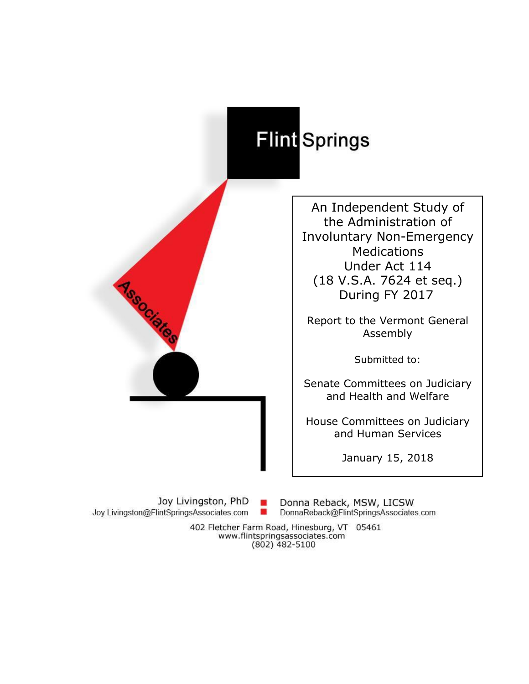# Flint Springs

An Independent Study of the Administration of Involuntary Non-Emergency Medications Under Act 114 (18 V.S.A. 7624 et seq.) During FY 2017

Report to the Vermont General Assembly

Submitted to:

Senate Committees on Judiciary and Health and Welfare

House Committees on Judiciary and Human Services

January 15, 2018

Joy Livingston, PhD **CO** Joy Livingston@FlintSpringsAssociates.com ۰

**Associatios** 

Donna Reback, MSW, LICSW DonnaReback@FlintSpringsAssociates.com

402 Fletcher Farm Road, Hinesburg, VT 05461 www.flintspringsassociates.com  $(802)$  482-5100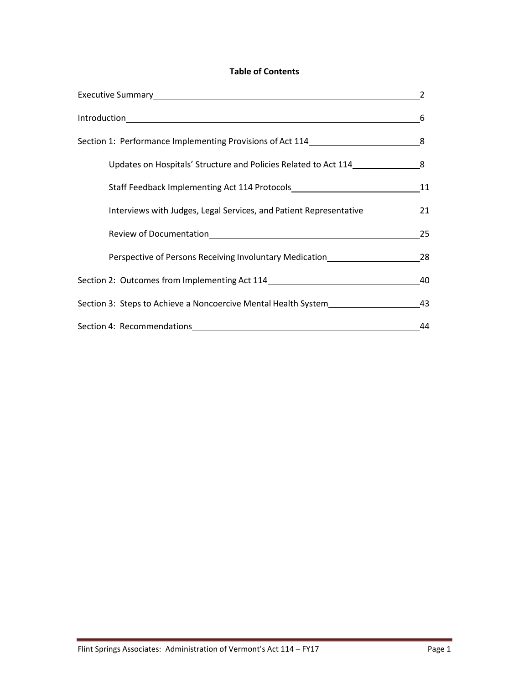## **Table of Contents**

|                                                                                                                                                                                                                                | - 6 |
|--------------------------------------------------------------------------------------------------------------------------------------------------------------------------------------------------------------------------------|-----|
| Section 1: Performance Implementing Provisions of Act 114 14 2000 11: 2012                                                                                                                                                     |     |
| Updates on Hospitals' Structure and Policies Related to Act 114                                                                                                                                                                |     |
|                                                                                                                                                                                                                                | 11  |
| Interviews with Judges, Legal Services, and Patient Representative                                                                                                                                                             | 21  |
| Review of Documentation Management and the series of the series of the series of the series of the series of the series of the series of the series of the series of the series of the series of the series of the series of t | 25  |
| Perspective of Persons Receiving Involuntary Medication_________________________                                                                                                                                               | 28  |
| Section 2: Outcomes from Implementing Act 114                                                                                                                                                                                  | 40  |
| Section 3: Steps to Achieve a Noncoercive Mental Health System__________________                                                                                                                                               | 43  |
|                                                                                                                                                                                                                                | 44  |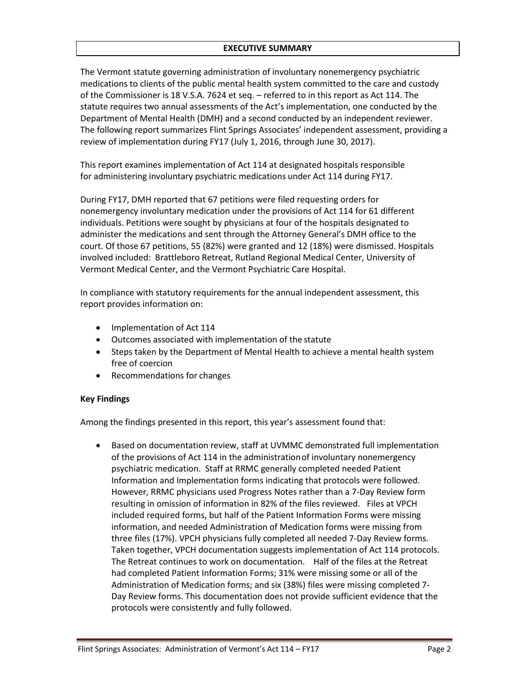## **EXECUTIVE SUMMARY**

The Vermont statute governing administration of involuntary nonemergency psychiatric medications to clients of the public mental health system committed to the care and custody of the Commissioner is 18 V.S.A. 7624 et seq. – referred to in this report as Act 114. The statute requires two annual assessments of the Act's implementation, one conducted by the Department of Mental Health (DMH) and a second conducted by an independent reviewer. The following report summarizes Flint Springs Associates' independent assessment, providing a review of implementation during FY17 (July 1, 2016, through June 30, 2017).

This report examines implementation of Act 114 at designated hospitals responsible for administering involuntary psychiatric medications under Act 114 during FY17.

During FY17, DMH reported that 67 petitions were filed requesting orders for nonemergency involuntary medication under the provisions of Act 114 for 61 different individuals. Petitions were sought by physicians at four of the hospitals designated to administer the medications and sent through the Attorney General's DMH office to the court. Of those 67 petitions, 55 (82%) were granted and 12 (18%) were dismissed. Hospitals involved included: Brattleboro Retreat, Rutland Regional Medical Center, University of Vermont Medical Center, and the Vermont Psychiatric Care Hospital.

In compliance with statutory requirements for the annual independent assessment, this report provides information on:

- Implementation of Act 114
- Outcomes associated with implementation of the statute
- Steps taken by the Department of Mental Health to achieve a mental health system free of coercion
- Recommendations for changes

## **Key Findings**

Among the findings presented in this report, this year's assessment found that:

 Based on documentation review, staff at UVMMC demonstrated full implementation of the provisions of Act 114 in the administrationof involuntary nonemergency psychiatric medication. Staff at RRMC generally completed needed Patient Information and Implementation forms indicating that protocols were followed. However, RRMC physicians used Progress Notes rather than a 7-Day Review form resulting in omission of information in 82% of the files reviewed. Files at VPCH included required forms, but half of the Patient Information Forms were missing information, and needed Administration of Medication forms were missing from three files (17%). VPCH physicians fully completed all needed 7-Day Review forms. Taken together, VPCH documentation suggests implementation of Act 114 protocols. The Retreat continues to work on documentation. Half of the files at the Retreat had completed Patient Information Forms; 31% were missing some or all of the Administration of Medication forms; and six (38%) files were missing completed 7- Day Review forms. This documentation does not provide sufficient evidence that the protocols were consistently and fully followed.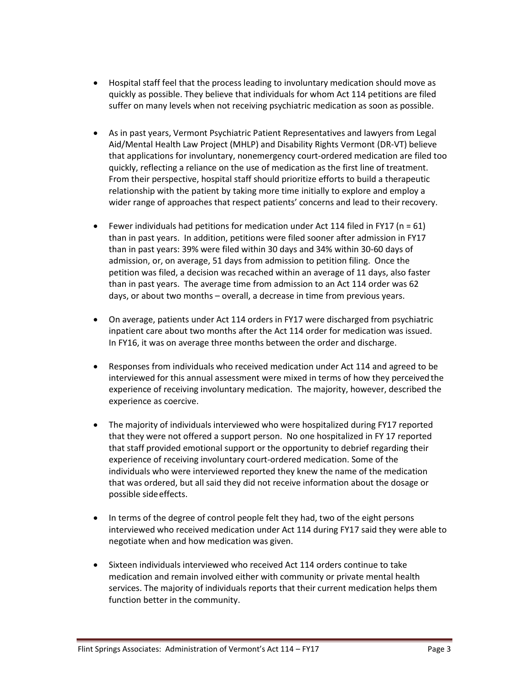- Hospital staff feel that the process leading to involuntary medication should move as quickly as possible. They believe that individuals for whom Act 114 petitions are filed suffer on many levels when not receiving psychiatric medication as soon as possible.
- As in past years, Vermont Psychiatric Patient Representatives and lawyers from Legal Aid/Mental Health Law Project (MHLP) and Disability Rights Vermont (DR-VT) believe that applications for involuntary, nonemergency court-ordered medication are filed too quickly, reflecting a reliance on the use of medication as the first line of treatment. From their perspective, hospital staff should prioritize efforts to build a therapeutic relationship with the patient by taking more time initially to explore and employ a wider range of approaches that respect patients' concerns and lead to theirrecovery.
- **•** Fewer individuals had petitions for medication under Act 114 filed in FY17 ( $n = 61$ ) than in past years. In addition, petitions were filed sooner after admission in FY17 than in past years: 39% were filed within 30 days and 34% within 30-60 days of admission, or, on average, 51 days from admission to petition filing. Once the petition was filed, a decision was recached within an average of 11 days, also faster than in past years. The average time from admission to an Act 114 order was 62 days, or about two months – overall, a decrease in time from previous years.
- On average, patients under Act 114 orders in FY17 were discharged from psychiatric inpatient care about two months after the Act 114 order for medication was issued. In FY16, it was on average three months between the order and discharge.
- Responses from individuals who received medication under Act 114 and agreed to be interviewed for this annual assessment were mixed in terms of how they perceived the experience of receiving involuntary medication. The majority, however, described the experience as coercive.
- The majority of individuals interviewed who were hospitalized during FY17 reported that they were not offered a support person. No one hospitalized in FY 17 reported that staff provided emotional support or the opportunity to debrief regarding their experience of receiving involuntary court-ordered medication. Some of the individuals who were interviewed reported they knew the name of the medication that was ordered, but all said they did not receive information about the dosage or possible sideeffects.
- In terms of the degree of control people felt they had, two of the eight persons interviewed who received medication under Act 114 during FY17 said they were able to negotiate when and how medication was given.
- Sixteen individuals interviewed who received Act 114 orders continue to take medication and remain involved either with community or private mental health services. The majority of individuals reports that their current medication helps them function better in the community.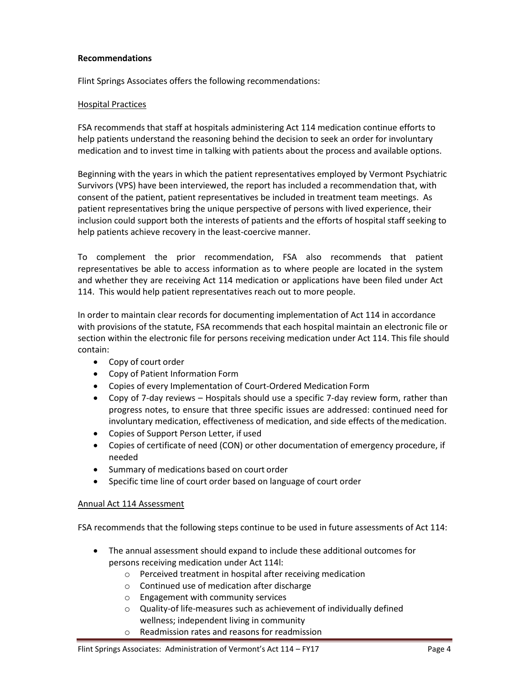## **Recommendations**

Flint Springs Associates offers the following recommendations:

#### Hospital Practices

FSA recommends that staff at hospitals administering Act 114 medication continue efforts to help patients understand the reasoning behind the decision to seek an order for involuntary medication and to invest time in talking with patients about the process and available options.

Beginning with the years in which the patient representatives employed by Vermont Psychiatric Survivors (VPS) have been interviewed, the report has included a recommendation that, with consent of the patient, patient representatives be included in treatment team meetings. As patient representatives bring the unique perspective of persons with lived experience, their inclusion could support both the interests of patients and the efforts of hospital staff seeking to help patients achieve recovery in the least-coercive manner.

To complement the prior recommendation, FSA also recommends that patient representatives be able to access information as to where people are located in the system and whether they are receiving Act 114 medication or applications have been filed under Act 114. This would help patient representatives reach out to more people.

In order to maintain clear records for documenting implementation of Act 114 in accordance with provisions of the statute, FSA recommends that each hospital maintain an electronic file or section within the electronic file for persons receiving medication under Act 114. This file should contain:

- Copy of court order
- Copy of Patient Information Form
- Copies of every Implementation of Court-Ordered Medication Form
- Copy of 7-day reviews Hospitals should use a specific 7-day review form, rather than progress notes, to ensure that three specific issues are addressed: continued need for involuntary medication, effectiveness of medication, and side effects of themedication.
- Copies of Support Person Letter, if used
- Copies of certificate of need (CON) or other documentation of emergency procedure, if needed
- Summary of medications based on court order
- Specific time line of court order based on language of court order

#### Annual Act 114 Assessment

FSA recommends that the following steps continue to be used in future assessments of Act 114:

- The annual assessment should expand to include these additional outcomes for persons receiving medication under Act 114l:
	- o Perceived treatment in hospital after receiving medication
	- o Continued use of medication after discharge
	- o Engagement with community services
	- o Quality-of life-measures such as achievement of individually defined wellness; independent living in community
	- o Readmission rates and reasons for readmission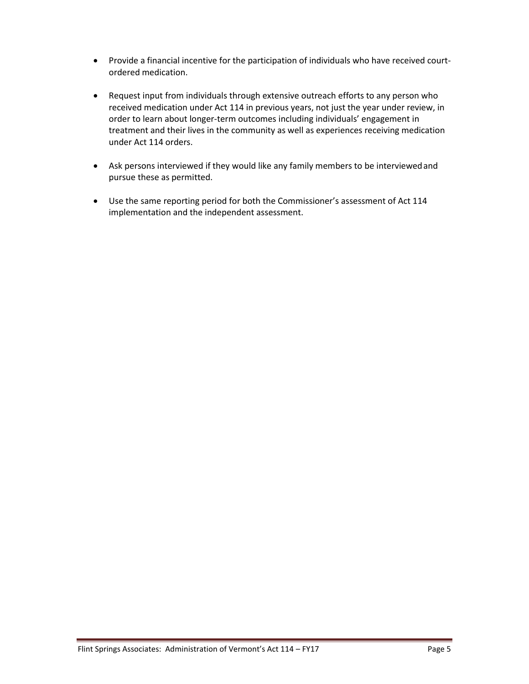- Provide a financial incentive for the participation of individuals who have received courtordered medication.
- Request input from individuals through extensive outreach efforts to any person who received medication under Act 114 in previous years, not just the year under review, in order to learn about longer-term outcomes including individuals' engagement in treatment and their lives in the community as well as experiences receiving medication under Act 114 orders.
- Ask persons interviewed if they would like any family members to be interviewedand pursue these as permitted.
- Use the same reporting period for both the Commissioner's assessment of Act 114 implementation and the independent assessment.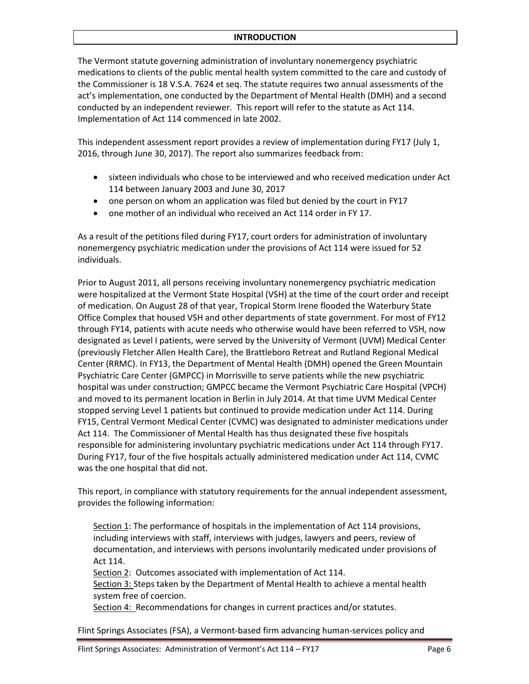#### **INTRODUCTION**

The Vermont statute governing administration of involuntary nonemergency psychiatric medications to clients of the public mental health system committed to the care and custody of the Commissioner is 18 V.S.A. 7624 et seq. The statute requires two annual assessments of the act's implementation, one conducted by the Department of Mental Health (DMH) and a second conducted by an independent reviewer. This report will refer to the statute as Act 114. Implementation of Act 114 commenced in late 2002.

This independent assessment report provides a review of implementation during FY17 (July 1, 2016, through June 30, 2017). The report also summarizes feedback from:

- sixteen individuals who chose to be interviewed and who received medication under Act 114 between January 2003 and June 30, 2017
- one person on whom an application was filed but denied by the court in FY17
- one mother of an individual who received an Act 114 order in FY 17.

As a result of the petitions filed during FY17, court orders for administration of involuntary nonemergency psychiatric medication under the provisions of Act 114 were issued for 52 individuals.

Prior to August 2011, all persons receiving involuntary nonemergency psychiatric medication were hospitalized at the Vermont State Hospital (VSH) at the time of the court order and receipt of medication. On August 28 of that year, Tropical Storm Irene flooded the Waterbury State Office Complex that housed VSH and other departments of state government. For most of FY12 through FY14, patients with acute needs who otherwise would have been referred to VSH, now designated as Level I patients, were served by the University of Vermont (UVM) Medical Center (previously Fletcher Allen Health Care), the Brattleboro Retreat and Rutland Regional Medical Center (RRMC). In FY13, the Department of Mental Health (DMH) opened the Green Mountain Psychiatric Care Center (GMPCC) in Morrisville to serve patients while the new psychiatric hospital was under construction; GMPCC became the Vermont Psychiatric Care Hospital (VPCH) and moved to its permanent location in Berlin in July 2014. At that time UVM Medical Center stopped serving Level 1 patients but continued to provide medication under Act 114. During FY15, Central Vermont Medical Center (CVMC) was designated to administer medications under Act 114. The Commissioner of Mental Health has thus designated these five hospitals responsible for administering involuntary psychiatric medications under Act 114 through FY17. During FY17, four of the five hospitals actually administered medication under Act 114, CVMC was the one hospital that did not.

This report, in compliance with statutory requirements for the annual independent assessment, provides the following information:

Section 1: The performance of hospitals in the implementation of Act 114 provisions, including interviews with staff, interviews with judges, lawyers and peers, review of documentation, and interviews with persons involuntarily medicated under provisions of Act 114.

Section 2: Outcomes associated with implementation of Act 114.

Section 3: Steps taken by the Department of Mental Health to achieve a mental health system free of coercion.

Section 4: Recommendations for changes in current practices and/or statutes.

Flint Springs Associates (FSA), a Vermont-based firm advancing human-services policy and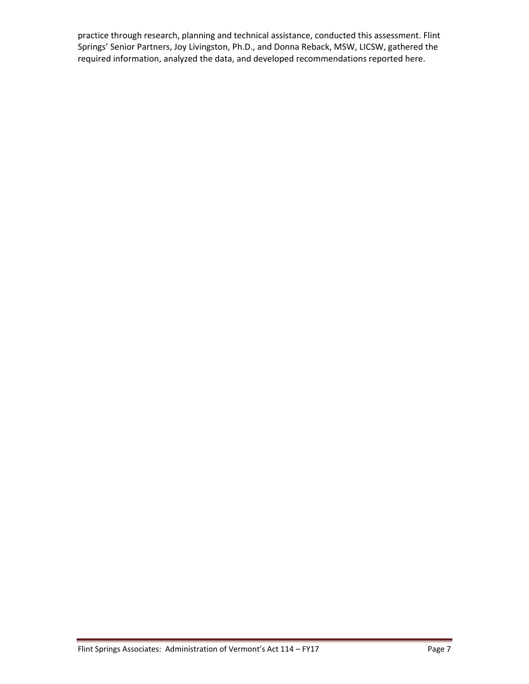practice through research, planning and technical assistance, conducted this assessment. Flint Springs' Senior Partners, Joy Livingston, Ph.D., and Donna Reback, MSW, LICSW, gathered the required information, analyzed the data, and developed recommendations reported here.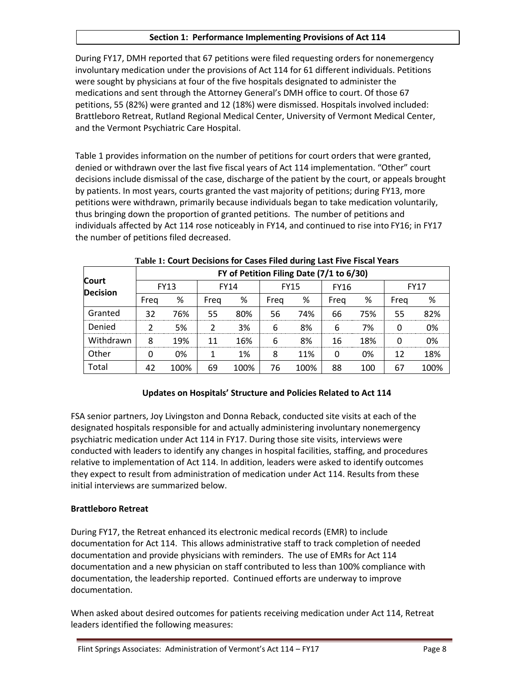## **Section 1: Performance Implementing Provisions of Act 114**

During FY17, DMH reported that 67 petitions were filed requesting orders for nonemergency involuntary medication under the provisions of Act 114 for 61 different individuals. Petitions were sought by physicians at four of the five hospitals designated to administer the medications and sent through the Attorney General's DMH office to court. Of those 67 petitions, 55 (82%) were granted and 12 (18%) were dismissed. Hospitals involved included: Brattleboro Retreat, Rutland Regional Medical Center, University of Vermont Medical Center, and the Vermont Psychiatric Care Hospital.

Table 1 provides information on the number of petitions for court orders that were granted, denied or withdrawn over the last five fiscal years of Act 114 implementation. "Other" court decisions include dismissal of the case, discharge of the patient by the court, or appeals brought by patients. In most years, courts granted the vast majority of petitions; during FY13, more petitions were withdrawn, primarily because individuals began to take medication voluntarily, thus bringing down the proportion of granted petitions. The number of petitions and individuals affected by Act 114 rose noticeably in FY14, and continued to rise into FY16; in FY17 the number of petitions filed decreased.

|                                 | FY of Petition Filing Date (7/1 to 6/30) |      |             |      |             |      |             |     |             |      |
|---------------------------------|------------------------------------------|------|-------------|------|-------------|------|-------------|-----|-------------|------|
| <b>Court</b><br><b>Decision</b> | <b>FY13</b>                              |      | <b>FY14</b> |      | <b>FY15</b> |      | <b>FY16</b> |     | <b>FY17</b> |      |
|                                 | Freg                                     | %    | Freg        | %    | Freg        | %    | Freg        | %   | Freg        | %    |
| Granted                         | 32                                       | 76%  | 55          | 80%  | 56          | 74%  | 66          | 75% | 55          | 82%  |
| Denied                          |                                          | 5%   | າ           | 3%   | 6           | 8%   | 6           | 7%  | ŋ           | 0%   |
| Withdrawn                       | 8                                        | 19%  | 11          | 16%  | 6           | 8%   | 16          | 18% | O           | 0%   |
| Other                           |                                          | 0%   |             | 1%   | 8           | 11%  | 0           | 0%  | 12          | 18%  |
| Total                           | 42                                       | 100% | 69          | 100% | 76          | 100% | 88          | 100 | 67          | 100% |

**Table 1: Court Decisions for Cases Filed during Last Five Fiscal Years**

# **Updates on Hospitals' Structure and Policies Related to Act 114**

FSA senior partners, Joy Livingston and Donna Reback, conducted site visits at each of the designated hospitals responsible for and actually administering involuntary nonemergency psychiatric medication under Act 114 in FY17. During those site visits, interviews were conducted with leaders to identify any changes in hospital facilities, staffing, and procedures relative to implementation of Act 114. In addition, leaders were asked to identify outcomes they expect to result from administration of medication under Act 114. Results from these initial interviews are summarized below.

# **Brattleboro Retreat**

During FY17, the Retreat enhanced its electronic medical records (EMR) to include documentation for Act 114. This allows administrative staff to track completion of needed documentation and provide physicians with reminders. The use of EMRs for Act 114 documentation and a new physician on staff contributed to less than 100% compliance with documentation, the leadership reported. Continued efforts are underway to improve documentation.

When asked about desired outcomes for patients receiving medication under Act 114, Retreat leaders identified the following measures: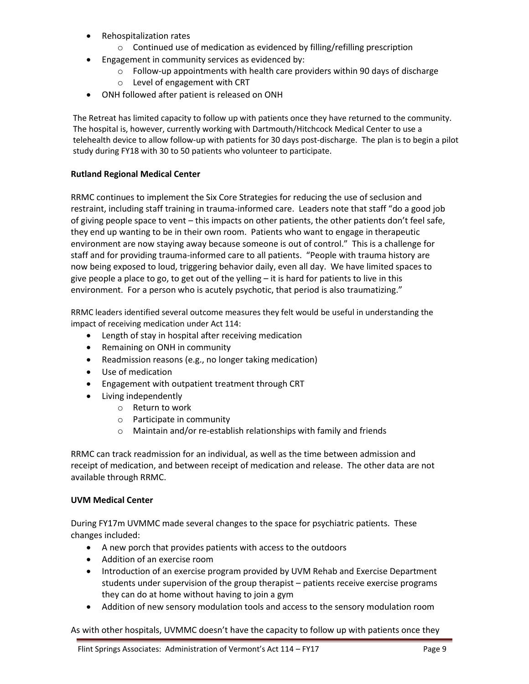- Rehospitalization rates
	- o Continued use of medication as evidenced by filling/refilling prescription
- **Engagement in community services as evidenced by:** 
	- o Follow-up appointments with health care providers within 90 days of discharge
	- o Level of engagement with CRT
- ONH followed after patient is released on ONH

The Retreat has limited capacity to follow up with patients once they have returned to the community. The hospital is, however, currently working with Dartmouth/Hitchcock Medical Center to use a telehealth device to allow follow-up with patients for 30 days post-discharge. The plan is to begin a pilot study during FY18 with 30 to 50 patients who volunteer to participate.

# **Rutland Regional Medical Center**

RRMC continues to implement the Six Core Strategies for reducing the use of seclusion and restraint, including staff training in trauma-informed care. Leaders note that staff "do a good job of giving people space to vent – this impacts on other patients, the other patients don't feel safe, they end up wanting to be in their own room. Patients who want to engage in therapeutic environment are now staying away because someone is out of control." This is a challenge for staff and for providing trauma-informed care to all patients. "People with trauma history are now being exposed to loud, triggering behavior daily, even all day. We have limited spaces to give people a place to go, to get out of the yelling – it is hard for patients to live in this environment. For a person who is acutely psychotic, that period is also traumatizing."

RRMC leaders identified several outcome measures they felt would be useful in understanding the impact of receiving medication under Act 114:

- Length of stay in hospital after receiving medication
- Remaining on ONH in community
- Readmission reasons (e.g., no longer taking medication)
- Use of medication
- Engagement with outpatient treatment through CRT
- Living independently
	- o Return to work
	- o Participate in community
	- o Maintain and/or re-establish relationships with family and friends

RRMC can track readmission for an individual, as well as the time between admission and receipt of medication, and between receipt of medication and release. The other data are not available through RRMC.

## **UVM Medical Center**

During FY17m UVMMC made several changes to the space for psychiatric patients. These changes included:

- A new porch that provides patients with access to the outdoors
- Addition of an exercise room
- Introduction of an exercise program provided by UVM Rehab and Exercise Department students under supervision of the group therapist – patients receive exercise programs they can do at home without having to join a gym
- Addition of new sensory modulation tools and access to the sensory modulation room

As with other hospitals, UVMMC doesn't have the capacity to follow up with patients once they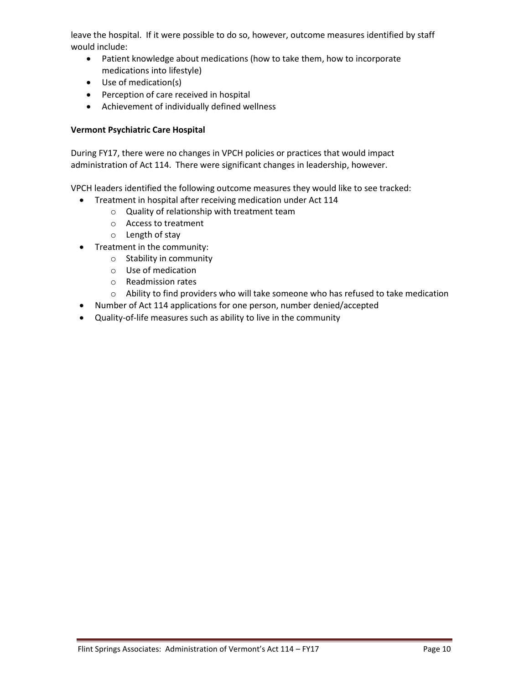leave the hospital. If it were possible to do so, however, outcome measures identified by staff would include:

- Patient knowledge about medications (how to take them, how to incorporate medications into lifestyle)
- Use of medication(s)
- Perception of care received in hospital
- Achievement of individually defined wellness

## **Vermont Psychiatric Care Hospital**

During FY17, there were no changes in VPCH policies or practices that would impact administration of Act 114. There were significant changes in leadership, however.

VPCH leaders identified the following outcome measures they would like to see tracked:

- Treatment in hospital after receiving medication under Act 114
	- o Quality of relationship with treatment team
	- o Access to treatment
	- o Length of stay
- Treatment in the community:
	- o Stability in community
	- o Use of medication
	- o Readmission rates
	- $\circ$  Ability to find providers who will take someone who has refused to take medication
- Number of Act 114 applications for one person, number denied/accepted
- Quality-of-life measures such as ability to live in the community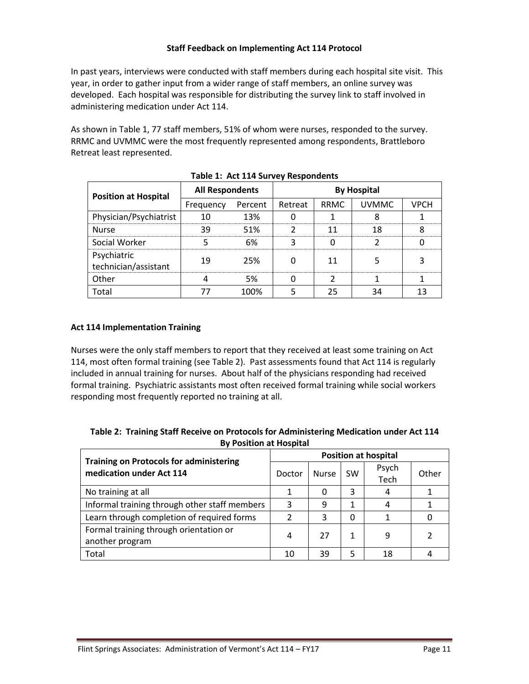## **Staff Feedback on Implementing Act 114 Protocol**

In past years, interviews were conducted with staff members during each hospital site visit. This year, in order to gather input from a wider range of staff members, an online survey was developed. Each hospital was responsible for distributing the survey link to staff involved in administering medication under Act 114.

As shown in Table 1, 77 staff members, 51% of whom were nurses, responded to the survey. RRMC and UVMMC were the most frequently represented among respondents, Brattleboro Retreat least represented.

| 1800                                |                        |         |                    |      |              |      |  |  |
|-------------------------------------|------------------------|---------|--------------------|------|--------------|------|--|--|
| <b>Position at Hospital</b>         | <b>All Respondents</b> |         | <b>By Hospital</b> |      |              |      |  |  |
|                                     | Frequency              | Percent | Retreat            | RRMC | <b>UVMMC</b> | VPCH |  |  |
| Physician/Psychiatrist              |                        | 13%     |                    |      |              |      |  |  |
| <b>Nurse</b>                        | 39                     | 51%     |                    |      | Я            |      |  |  |
| Social Worker                       |                        | 6%      |                    |      |              |      |  |  |
| Psychiatric<br>technician/assistant |                        | 25%     |                    |      |              |      |  |  |
| Other                               |                        | .5%     |                    |      |              |      |  |  |
| Total                               |                        | 100%    |                    |      |              |      |  |  |

**Table 1: Act 114 Survey Respondents**

## **Act 114 Implementation Training**

Nurses were the only staff members to report that they received at least some training on Act 114, most often formal training (see Table 2). Past assessments found that Act 114 is regularly included in annual training for nurses. About half of the physicians responding had received formal training. Psychiatric assistants most often received formal training while social workers responding most frequently reported no training at all.

| Table 2: Training Staff Receive on Protocols for Administering Medication under Act 114 |
|-----------------------------------------------------------------------------------------|
| <b>By Position at Hospital</b>                                                          |

| <b>Training on Protocols for administering</b> | <b>Position at hospital</b> |              |           |       |       |  |
|------------------------------------------------|-----------------------------|--------------|-----------|-------|-------|--|
| medication under Act 114                       | Doctor                      | <b>Nurse</b> | <b>SW</b> | Psych | Other |  |
|                                                |                             |              |           | Tech  |       |  |
| No training at all                             |                             | 0            | 3         | 4     |       |  |
| Informal training through other staff members  | 3                           | 9            |           | 4     |       |  |
| Learn through completion of required forms     | 2                           | 3            | O         |       |       |  |
| Formal training through orientation or         | 4                           | 27           |           | 9     |       |  |
| another program                                |                             |              |           |       |       |  |
| Total                                          | 10                          | 39           |           | 18    |       |  |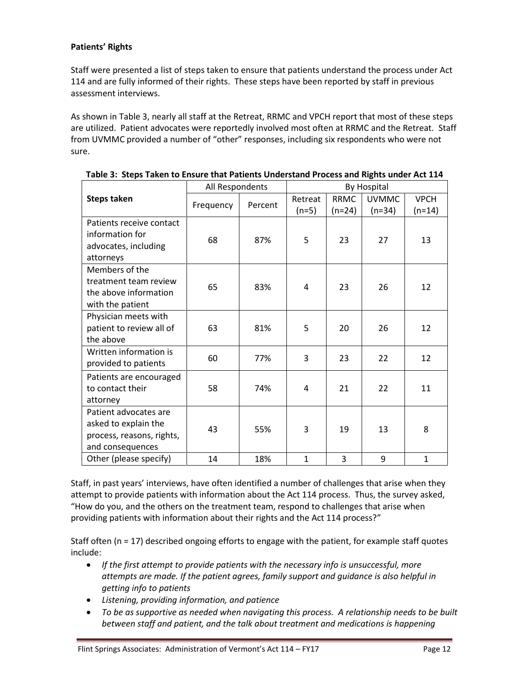## **Patients' Rights**

Staff were presented a list of steps taken to ensure that patients understand the process under Act 114 and are fully informed of their rights. These steps have been reported by staff in previous assessment interviews.

As shown in Table 3, nearly all staff at the Retreat, RRMC and VPCH report that most of these steps are utilized. Patient advocates were reportedly involved most often at RRMC and the Retreat. Staff from UVMMC provided a number of "other" responses, including six respondents who were not sure.

|                                                                                                | All Respondents |         | By Hospital        |                         |                          |                         |
|------------------------------------------------------------------------------------------------|-----------------|---------|--------------------|-------------------------|--------------------------|-------------------------|
| <b>Steps taken</b>                                                                             | Frequency       | Percent | Retreat<br>$(n=5)$ | <b>RRMC</b><br>$(n=24)$ | <b>UVMMC</b><br>$(n=34)$ | <b>VPCH</b><br>$(n=14)$ |
| Patients receive contact<br>information for<br>advocates, including<br>attorneys               | 68              | 87%     | 5                  | 23                      | 27                       | 13                      |
| Members of the<br>treatment team review<br>the above information<br>with the patient           | 65              | 83%     | 4                  | 23                      | 26                       | 12                      |
| Physician meets with<br>patient to review all of<br>the above                                  | 63              | 81%     | 5                  | 20                      | 26                       | 12                      |
| Written information is<br>provided to patients                                                 | 60              | 77%     | 3                  | 23                      | 22                       | 12                      |
| Patients are encouraged<br>to contact their<br>attorney                                        | 58              | 74%     | 4                  | 21                      | 22                       | 11                      |
| Patient advocates are<br>asked to explain the<br>process, reasons, rights,<br>and consequences | 43              | 55%     | 3                  | 19                      | 13                       | 8                       |
| Other (please specify)                                                                         | 14              | 18%     | $\mathbf{1}$       | 3                       | 9                        | $\mathbf{1}$            |

**Table 3: Steps Taken to Ensure that Patients Understand Process and Rights under Act 114**

Staff, in past years' interviews, have often identified a number of challenges that arise when they attempt to provide patients with information about the Act 114 process. Thus, the survey asked, "How do you, and the others on the treatment team, respond to challenges that arise when providing patients with information about their rights and the Act 114 process?"

Staff often (n = 17) described ongoing efforts to engage with the patient, for example staff quotes include:

- *If the first attempt to provide patients with the necessary info is unsuccessful, more attempts are made. If the patient agrees, family support and guidance is also helpful in getting info to patients*
- *Listening, providing information, and patience*
- *To be as supportive as needed when navigating this process. A relationship needs to be built between staff and patient, and the talk about treatment and medications is happening*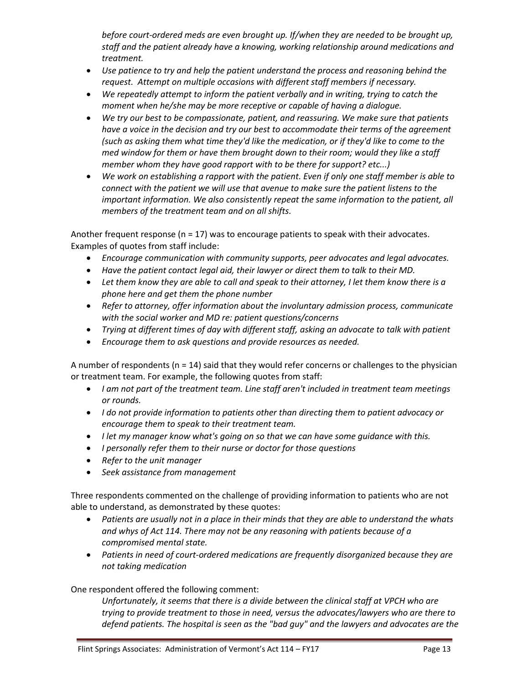*before court-ordered meds are even brought up. If/when they are needed to be brought up, staff and the patient already have a knowing, working relationship around medications and treatment.*

- *Use patience to try and help the patient understand the process and reasoning behind the request. Attempt on multiple occasions with different staff members if necessary.*
- *We repeatedly attempt to inform the patient verbally and in writing, trying to catch the moment when he/she may be more receptive or capable of having a dialogue.*
- *We try our best to be compassionate, patient, and reassuring. We make sure that patients have a voice in the decision and try our best to accommodate their terms of the agreement (such as asking them what time they'd like the medication, or if they'd like to come to the med window for them or have them brought down to their room; would they like a staff member whom they have good rapport with to be there for support? etc...)*
- *We work on establishing a rapport with the patient. Even if only one staff member is able to connect with the patient we will use that avenue to make sure the patient listens to the important information. We also consistently repeat the same information to the patient, all members of the treatment team and on all shifts.*

Another frequent response ( $n = 17$ ) was to encourage patients to speak with their advocates. Examples of quotes from staff include:

- *Encourage communication with community supports, peer advocates and legal advocates.*
- *Have the patient contact legal aid, their lawyer or direct them to talk to their MD.*
- Let them know they are able to call and speak to their attorney, I let them know there is a *phone here and get them the phone number*
- *Refer to attorney, offer information about the involuntary admission process, communicate with the social worker and MD re: patient questions/concerns*
- *Trying at different times of day with different staff, asking an advocate to talk with patient*
- *Encourage them to ask questions and provide resources as needed.*

A number of respondents (n = 14) said that they would refer concerns or challenges to the physician or treatment team. For example, the following quotes from staff:

- *I am not part of the treatment team. Line staff aren't included in treatment team meetings or rounds.*
- *I do not provide information to patients other than directing them to patient advocacy or encourage them to speak to their treatment team.*
- *I let my manager know what's going on so that we can have some guidance with this.*
- *I personally refer them to their nurse or doctor for those questions*
- *Refer to the unit manager*
- *Seek assistance from management*

Three respondents commented on the challenge of providing information to patients who are not able to understand, as demonstrated by these quotes:

- *Patients are usually not in a place in their minds that they are able to understand the whats and whys of Act 114. There may not be any reasoning with patients because of a compromised mental state.*
- *Patients in need of court-ordered medications are frequently disorganized because they are not taking medication*

## One respondent offered the following comment:

*Unfortunately, it seems that there is a divide between the clinical staff at VPCH who are trying to provide treatment to those in need, versus the advocates/lawyers who are there to defend patients. The hospital is seen as the "bad guy" and the lawyers and advocates are the*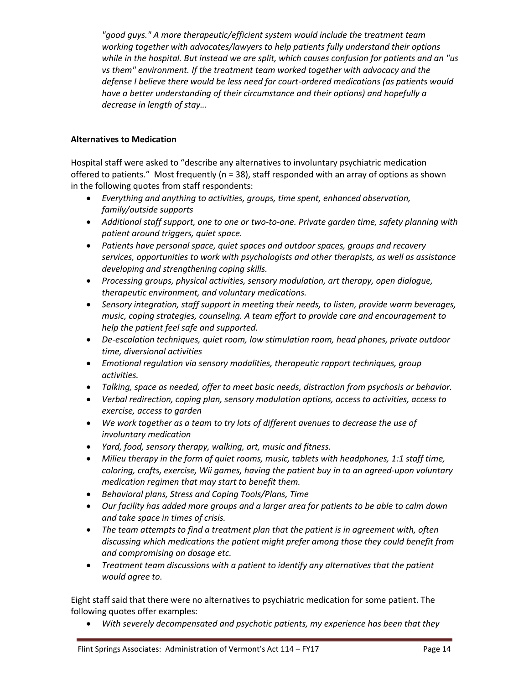*"good guys." A more therapeutic/efficient system would include the treatment team working together with advocates/lawyers to help patients fully understand their options while in the hospital. But instead we are split, which causes confusion for patients and an "us vs them" environment. If the treatment team worked together with advocacy and the defense I believe there would be less need for court-ordered medications (as patients would have a better understanding of their circumstance and their options) and hopefully a decrease in length of stay…*

## **Alternatives to Medication**

Hospital staff were asked to "describe any alternatives to involuntary psychiatric medication offered to patients." Most frequently (n = 38), staff responded with an array of options as shown in the following quotes from staff respondents:

- *Everything and anything to activities, groups, time spent, enhanced observation, family/outside supports*
- *Additional staff support, one to one or two-to-one. Private garden time, safety planning with patient around triggers, quiet space.*
- *Patients have personal space, quiet spaces and outdoor spaces, groups and recovery services, opportunities to work with psychologists and other therapists, as well as assistance developing and strengthening coping skills.*
- *Processing groups, physical activities, sensory modulation, art therapy, open dialogue, therapeutic environment, and voluntary medications.*
- *Sensory integration, staff support in meeting their needs, to listen, provide warm beverages, music, coping strategies, counseling. A team effort to provide care and encouragement to help the patient feel safe and supported.*
- *De-escalation techniques, quiet room, low stimulation room, head phones, private outdoor time, diversional activities*
- *Emotional regulation via sensory modalities, therapeutic rapport techniques, group activities.*
- *Talking, space as needed, offer to meet basic needs, distraction from psychosis or behavior.*
- *Verbal redirection, coping plan, sensory modulation options, access to activities, access to exercise, access to garden*
- *We work together as a team to try lots of different avenues to decrease the use of involuntary medication*
- *Yard, food, sensory therapy, walking, art, music and fitness.*
- *Milieu therapy in the form of quiet rooms, music, tablets with headphones, 1:1 staff time, coloring, crafts, exercise, Wii games, having the patient buy in to an agreed-upon voluntary medication regimen that may start to benefit them.*
- *Behavioral plans, Stress and Coping Tools/Plans, Time*
- *Our facility has added more groups and a larger area for patients to be able to calm down and take space in times of crisis.*
- *The team attempts to find a treatment plan that the patient is in agreement with, often discussing which medications the patient might prefer among those they could benefit from and compromising on dosage etc.*
- *Treatment team discussions with a patient to identify any alternatives that the patient would agree to.*

Eight staff said that there were no alternatives to psychiatric medication for some patient. The following quotes offer examples:

*With severely decompensated and psychotic patients, my experience has been that they*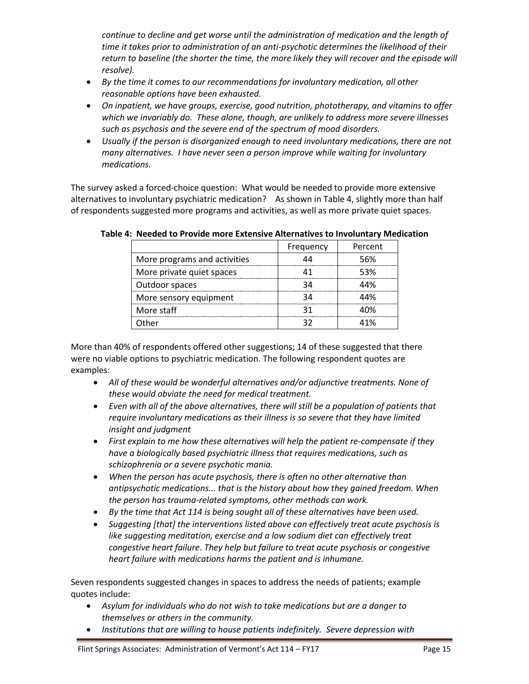*continue to decline and get worse until the administration of medication and the length of time it takes prior to administration of an anti-psychotic determines the likelihood of their return to baseline (the shorter the time, the more likely they will recover and the episode will resolve).*

- *By the time it comes to our recommendations for involuntary medication, all other reasonable options have been exhausted.*
- *On inpatient, we have groups, exercise, good nutrition, phototherapy, and vitamins to offer which we invariably do. These alone, though, are unlikely to address more severe illnesses such as psychosis and the severe end of the spectrum of mood disorders.*
- *Usually if the person is disorganized enough to need involuntary medications, there are not many alternatives. I have never seen a person improve while waiting for involuntary medications.*

The survey asked a forced-choice question: What would be needed to provide more extensive alternatives to involuntary psychiatric medication? As shown in Table 4, slightly more than half of respondents suggested more programs and activities, as well as more private quiet spaces.

|                              | Frequency | Percent |
|------------------------------|-----------|---------|
| More programs and activities | 44        | 56%     |
| More private quiet spaces    | 41        | 53%     |
| Outdoor spaces               | 34        | 44%     |
| More sensory equipment       | 34        | 44%     |
| More staff                   | 31        | 40%     |
| ገ†her                        | っっ        | 41%     |

**Table 4: Needed to Provide more Extensive Alternatives to Involuntary Medication**

More than 40% of respondents offered other suggestions; 14 of these suggested that there were no viable options to psychiatric medication. The following respondent quotes are examples:

- *All of these would be wonderful alternatives and/or adjunctive treatments. None of these would obviate the need for medical treatment.*
- *Even with all of the above alternatives, there will still be a population of patients that require involuntary medications as their illness is so severe that they have limited insight and judgment*
- *First explain to me how these alternatives will help the patient re-compensate if they have a biologically based psychiatric illness that requires medications, such as schizophrenia or a severe psychotic mania.*
- *When the person has acute psychosis, there is often no other alternative than antipsychotic medications... that is the history about how they gained freedom. When the person has trauma-related symptoms, other methods can work.*
- *By the time that Act 114 is being sought all of these alternatives have been used.*
- *Suggesting [that] the interventions listed above can effectively treat acute psychosis is like suggesting meditation, exercise and a low sodium diet can effectively treat congestive heart failure. They help but failure to treat acute psychosis or congestive heart failure with medications harms the patient and is inhumane.*

Seven respondents suggested changes in spaces to address the needs of patients; example quotes include:

- *Asylum for individuals who do not wish to take medications but are a danger to themselves or others in the community.*
- *Institutions that are willing to house patients indefinitely. Severe depression with*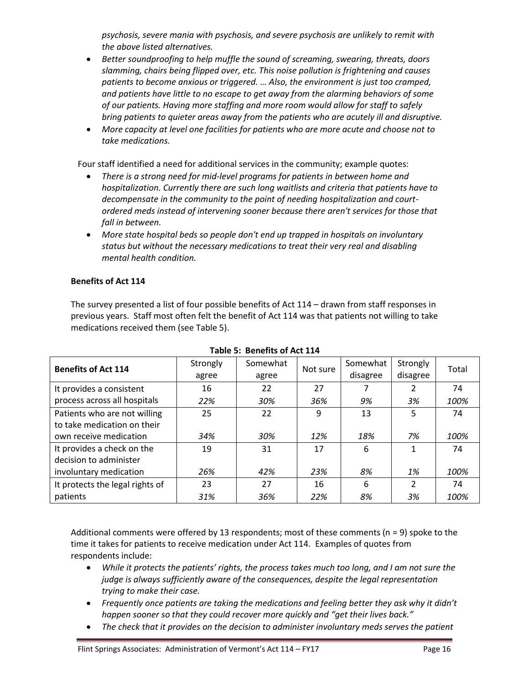*psychosis, severe mania with psychosis, and severe psychosis are unlikely to remit with the above listed alternatives.*

- *Better soundproofing to help muffle the sound of screaming, swearing, threats, doors slamming, chairs being flipped over, etc. This noise pollution is frightening and causes patients to become anxious or triggered. … Also, the environment is just too cramped, and patients have little to no escape to get away from the alarming behaviors of some of our patients. Having more staffing and more room would allow for staff to safely bring patients to quieter areas away from the patients who are acutely ill and disruptive.*
- *More capacity at level one facilities for patients who are more acute and choose not to take medications.*

Four staff identified a need for additional services in the community; example quotes:

- *There is a strong need for mid-level programs for patients in between home and hospitalization. Currently there are such long waitlists and criteria that patients have to decompensate in the community to the point of needing hospitalization and courtordered meds instead of intervening sooner because there aren't services for those that fall in between.*
- *More state hospital beds so people don't end up trapped in hospitals on involuntary status but without the necessary medications to treat their very real and disabling mental health condition.*

## **Benefits of Act 114**

The survey presented a list of four possible benefits of Act 114 – drawn from staff responses in previous years. Staff most often felt the benefit of Act 114 was that patients not willing to take medications received them (see Table 5).

| <b>Benefits of Act 114</b>                                  | Strongly<br>agree | Somewhat<br>agree | Not sure | Somewhat<br>disagree | Strongly<br>disagree | Total |
|-------------------------------------------------------------|-------------------|-------------------|----------|----------------------|----------------------|-------|
| It provides a consistent                                    | 16                | 22                | 27       |                      | $\mathfrak{p}$       | 74    |
| process across all hospitals                                | 22%               | 30%               | 36%      | 9%                   | 3%                   | 100%  |
| Patients who are not willing<br>to take medication on their | 25                | 22                | 9        | 13                   | 5                    | 74    |
| own receive medication                                      | 34%               | 30%               | 12%      | 18%                  | 7%                   | 100%  |
| It provides a check on the<br>decision to administer        | 19                | 31                | 17       | 6                    | $\mathbf{1}$         | 74    |
| involuntary medication                                      | 26%               | 42%               | 23%      | 8%                   | 1%                   | 100%  |
| It protects the legal rights of                             | 23                | 27                | 16       | 6                    | $\mathfrak{p}$       | 74    |
| patients                                                    | 31%               | 36%               | 22%      | 8%                   | 3%                   | 100%  |

# **Table 5: Benefits of Act 114**

Additional comments were offered by 13 respondents; most of these comments ( $n = 9$ ) spoke to the time it takes for patients to receive medication under Act 114. Examples of quotes from respondents include:

- *While it protects the patients' rights, the process takes much too long, and I am not sure the judge is always sufficiently aware of the consequences, despite the legal representation trying to make their case.*
- *Frequently once patients are taking the medications and feeling better they ask why it didn't happen sooner so that they could recover more quickly and "get their lives back."*
- *The check that it provides on the decision to administer involuntary meds serves the patient*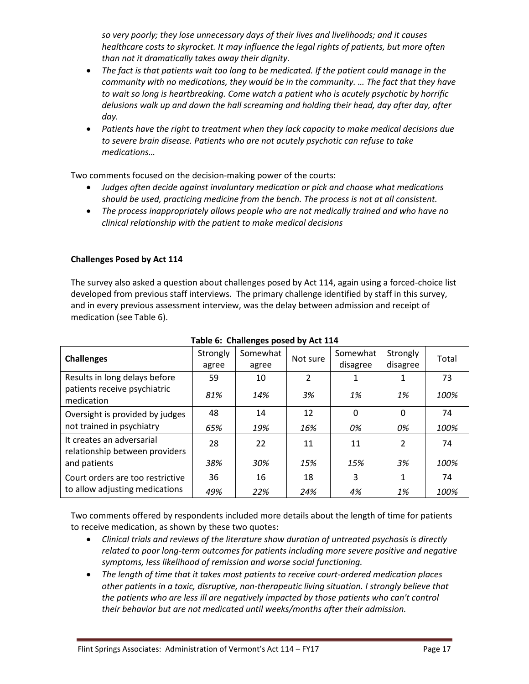*so very poorly; they lose unnecessary days of their lives and livelihoods; and it causes healthcare costs to skyrocket. It may influence the legal rights of patients, but more often than not it dramatically takes away their dignity.*

- *The fact is that patients wait too long to be medicated. If the patient could manage in the community with no medications, they would be in the community. … The fact that they have to wait so long is heartbreaking. Come watch a patient who is acutely psychotic by horrific delusions walk up and down the hall screaming and holding their head, day after day, after day.*
- *Patients have the right to treatment when they lack capacity to make medical decisions due to severe brain disease. Patients who are not acutely psychotic can refuse to take medications…*

Two comments focused on the decision-making power of the courts:

- *Judges often decide against involuntary medication or pick and choose what medications should be used, practicing medicine from the bench. The process is not at all consistent.*
- *The process inappropriately allows people who are not medically trained and who have no clinical relationship with the patient to make medical decisions*

# **Challenges Posed by Act 114**

The survey also asked a question about challenges posed by Act 114, again using a forced-choice list developed from previous staff interviews. The primary challenge identified by staff in this survey, and in every previous assessment interview, was the delay between admission and receipt of medication (see Table 6).

| <b>Challenges</b>                                           | Strongly<br>agree | Somewhat<br>agree | Not sure | Somewhat<br>disagree | Strongly<br>disagree | Total |
|-------------------------------------------------------------|-------------------|-------------------|----------|----------------------|----------------------|-------|
| Results in long delays before                               | 59                | 10                | 2        | 1                    | 1                    | 73    |
| patients receive psychiatric<br>medication                  | 81%               | 14%               | 3%       | 1%                   | 1%                   | 100%  |
| Oversight is provided by judges                             | 48                | 14                | 12       | 0                    | 0                    | 74    |
| not trained in psychiatry                                   | 65%               | 19%               | 16%      | 0%                   | 0%                   | 100%  |
| It creates an adversarial<br>relationship between providers | 28                | 22                | 11       | 11                   | $\overline{2}$       | 74    |
| and patients                                                | 38%               | 30%               | 15%      | 15%                  | 3%                   | 100%  |
| Court orders are too restrictive                            | 36                | 16                | 18       | 3                    | 1                    | 74    |
| to allow adjusting medications                              | 49%               | 22%               | 24%      | 4%                   | 1%                   | 100%  |

# **Table 6: Challenges posed by Act 114**

Two comments offered by respondents included more details about the length of time for patients to receive medication, as shown by these two quotes:

- *Clinical trials and reviews of the literature show duration of untreated psychosis is directly related to poor long-term outcomes for patients including more severe positive and negative symptoms, less likelihood of remission and worse social functioning.*
- *The length of time that it takes most patients to receive court-ordered medication places other patients in a toxic, disruptive, non-therapeutic living situation. I strongly believe that the patients who are less ill are negatively impacted by those patients who can't control their behavior but are not medicated until weeks/months after their admission.*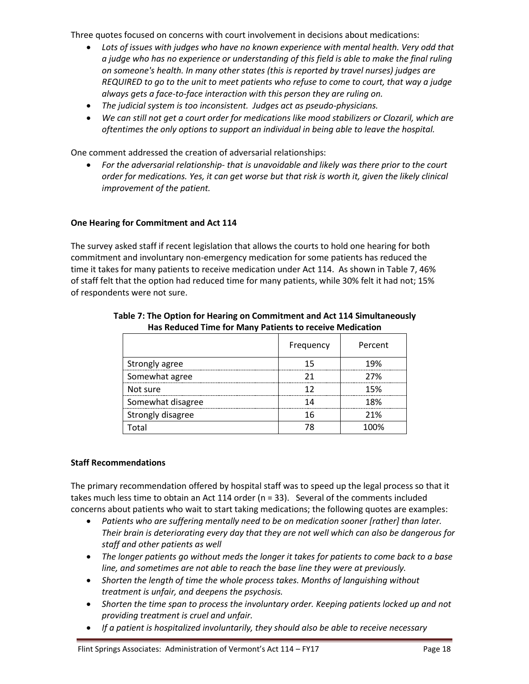Three quotes focused on concerns with court involvement in decisions about medications:

- *Lots of issues with judges who have no known experience with mental health. Very odd that a judge who has no experience or understanding of this field is able to make the final ruling on someone's health. In many other states (this is reported by travel nurses) judges are REQUIRED to go to the unit to meet patients who refuse to come to court, that way a judge always gets a face-to-face interaction with this person they are ruling on.*
- *The judicial system is too inconsistent. Judges act as pseudo-physicians.*
- *We can still not get a court order for medications like mood stabilizers or Clozaril, which are oftentimes the only options to support an individual in being able to leave the hospital.*

One comment addressed the creation of adversarial relationships:

 *For the adversarial relationship- that is unavoidable and likely was there prior to the court order for medications. Yes, it can get worse but that risk is worth it, given the likely clinical improvement of the patient.*

# **One Hearing for Commitment and Act 114**

The survey asked staff if recent legislation that allows the courts to hold one hearing for both commitment and involuntary non-emergency medication for some patients has reduced the time it takes for many patients to receive medication under Act 114. As shown in Table 7, 46% of staff felt that the option had reduced time for many patients, while 30% felt it had not; 15% of respondents were not sure.

|                   | Frequency | Percent |
|-------------------|-----------|---------|
| Strongly agree    | 15        | 19%     |
| Somewhat agree    | 21        | 27%     |
| Not sure          | 12        | 15%     |
| Somewhat disagree | 14        | 18%     |
| Strongly disagree | 16        | 21%     |
| Total             | 78        | 100%    |

## **Table 7: The Option for Hearing on Commitment and Act 114 Simultaneously Has Reduced Time for Many Patients to receive Medication**

## **Staff Recommendations**

The primary recommendation offered by hospital staff was to speed up the legal process so that it takes much less time to obtain an Act 114 order (n = 33). Several of the comments included concerns about patients who wait to start taking medications; the following quotes are examples:

- *Patients who are suffering mentally need to be on medication sooner [rather] than later. Their brain is deteriorating every day that they are not well which can also be dangerous for staff and other patients as well*
- *The longer patients go without meds the longer it takes for patients to come back to a base line, and sometimes are not able to reach the base line they were at previously.*
- *Shorten the length of time the whole process takes. Months of languishing without treatment is unfair, and deepens the psychosis.*
- *Shorten the time span to process the involuntary order. Keeping patients locked up and not providing treatment is cruel and unfair.*
- *If a patient is hospitalized involuntarily, they should also be able to receive necessary*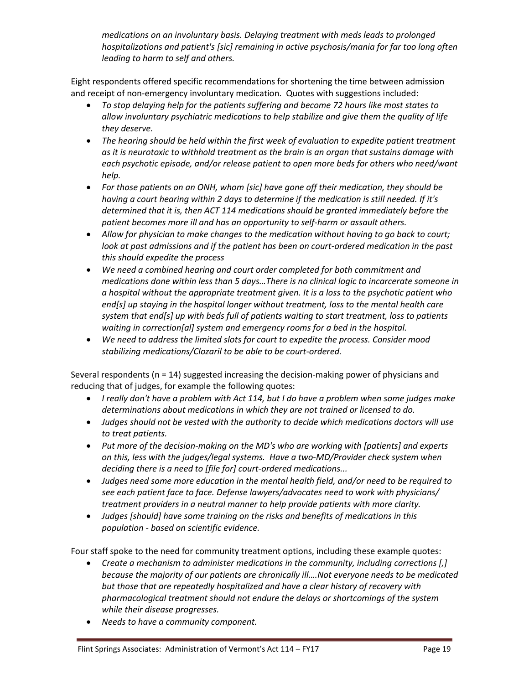*medications on an involuntary basis. Delaying treatment with meds leads to prolonged hospitalizations and patient's [sic] remaining in active psychosis/mania for far too long often leading to harm to self and others.*

Eight respondents offered specific recommendations for shortening the time between admission and receipt of non-emergency involuntary medication. Quotes with suggestions included:

- *To stop delaying help for the patients suffering and become 72 hours like most states to allow involuntary psychiatric medications to help stabilize and give them the quality of life they deserve.*
- *The hearing should be held within the first week of evaluation to expedite patient treatment as it is neurotoxic to withhold treatment as the brain is an organ that sustains damage with each psychotic episode, and/or release patient to open more beds for others who need/want help.*
- *For those patients on an ONH, whom [sic] have gone off their medication, they should be having a court hearing within 2 days to determine if the medication is still needed. If it's determined that it is, then ACT 114 medications should be granted immediately before the patient becomes more ill and has an opportunity to self-harm or assault others.*
- *Allow for physician to make changes to the medication without having to go back to court; look at past admissions and if the patient has been on court-ordered medication in the past this should expedite the process*
- *We need a combined hearing and court order completed for both commitment and medications done within less than 5 days…There is no clinical logic to incarcerate someone in a hospital without the appropriate treatment given. It is a loss to the psychotic patient who end[s] up staying in the hospital longer without treatment, loss to the mental health care system that end[s] up with beds full of patients waiting to start treatment, loss to patients waiting in correction[al] system and emergency rooms for a bed in the hospital.*
- *We need to address the limited slots for court to expedite the process. Consider mood stabilizing medications/Clozaril to be able to be court-ordered.*

Several respondents (n = 14) suggested increasing the decision-making power of physicians and reducing that of judges, for example the following quotes:

- *I really don't have a problem with Act 114, but I do have a problem when some judges make determinations about medications in which they are not trained or licensed to do.*
- *Judges should not be vested with the authority to decide which medications doctors will use to treat patients.*
- *Put more of the decision-making on the MD's who are working with [patients] and experts on this, less with the judges/legal systems. Have a two-MD/Provider check system when deciding there is a need to [file for] court-ordered medications...*
- *Judges need some more education in the mental health field, and/or need to be required to see each patient face to face. Defense lawyers/advocates need to work with physicians/ treatment providers in a neutral manner to help provide patients with more clarity.*
- *Judges [should] have some training on the risks and benefits of medications in this population - based on scientific evidence.*

Four staff spoke to the need for community treatment options, including these example quotes:

- *Create a mechanism to administer medications in the community, including corrections [,] because the majority of our patients are chronically ill.…Not everyone needs to be medicated but those that are repeatedly hospitalized and have a clear history of recovery with pharmacological treatment should not endure the delays or shortcomings of the system while their disease progresses.*
- *Needs to have a community component.*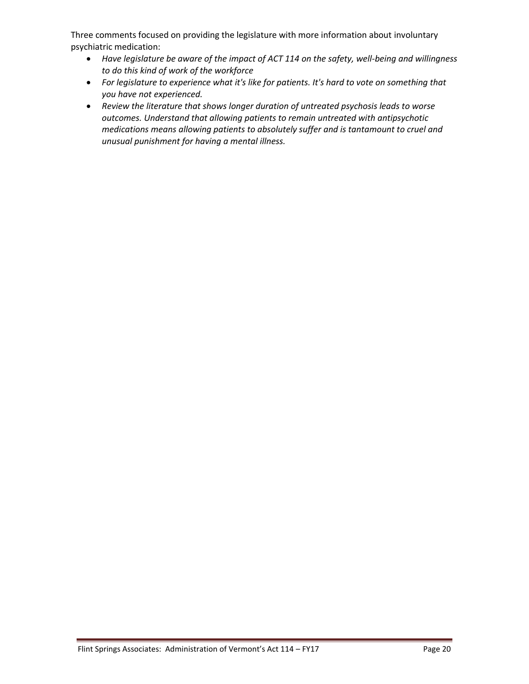Three comments focused on providing the legislature with more information about involuntary psychiatric medication:

- *Have legislature be aware of the impact of ACT 114 on the safety, well-being and willingness to do this kind of work of the workforce*
- *For legislature to experience what it's like for patients. It's hard to vote on something that you have not experienced.*
- *Review the literature that shows longer duration of untreated psychosis leads to worse outcomes. Understand that allowing patients to remain untreated with antipsychotic medications means allowing patients to absolutely suffer and is tantamount to cruel and unusual punishment for having a mental illness.*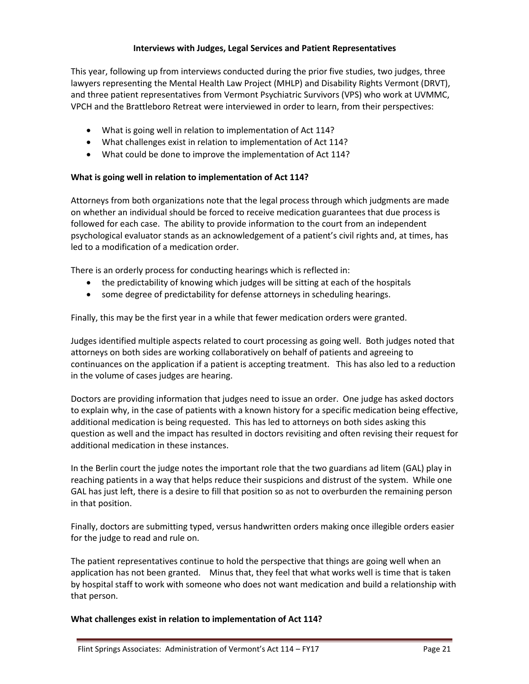## **Interviews with Judges, Legal Services and Patient Representatives**

This year, following up from interviews conducted during the prior five studies, two judges, three lawyers representing the Mental Health Law Project (MHLP) and Disability Rights Vermont (DRVT), and three patient representatives from Vermont Psychiatric Survivors (VPS) who work at UVMMC, VPCH and the Brattleboro Retreat were interviewed in order to learn, from their perspectives:

- What is going well in relation to implementation of Act 114?
- What challenges exist in relation to implementation of Act 114?
- What could be done to improve the implementation of Act 114?

## **What is going well in relation to implementation of Act 114?**

Attorneys from both organizations note that the legal process through which judgments are made on whether an individual should be forced to receive medication guarantees that due process is followed for each case. The ability to provide information to the court from an independent psychological evaluator stands as an acknowledgement of a patient's civil rights and, at times, has led to a modification of a medication order.

There is an orderly process for conducting hearings which is reflected in:

- the predictability of knowing which judges will be sitting at each of the hospitals
- some degree of predictability for defense attorneys in scheduling hearings.

Finally, this may be the first year in a while that fewer medication orders were granted.

Judges identified multiple aspects related to court processing as going well. Both judges noted that attorneys on both sides are working collaboratively on behalf of patients and agreeing to continuances on the application if a patient is accepting treatment. This has also led to a reduction in the volume of cases judges are hearing.

Doctors are providing information that judges need to issue an order. One judge has asked doctors to explain why, in the case of patients with a known history for a specific medication being effective, additional medication is being requested. This has led to attorneys on both sides asking this question as well and the impact has resulted in doctors revisiting and often revising their request for additional medication in these instances.

In the Berlin court the judge notes the important role that the two guardians ad litem (GAL) play in reaching patients in a way that helps reduce their suspicions and distrust of the system. While one GAL has just left, there is a desire to fill that position so as not to overburden the remaining person in that position.

Finally, doctors are submitting typed, versus handwritten orders making once illegible orders easier for the judge to read and rule on.

The patient representatives continue to hold the perspective that things are going well when an application has not been granted. Minus that, they feel that what works well is time that is taken by hospital staff to work with someone who does not want medication and build a relationship with that person.

## **What challenges exist in relation to implementation of Act 114?**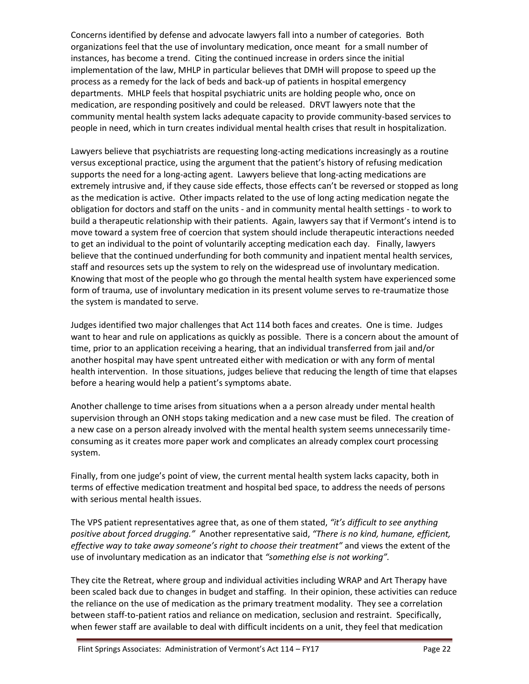Concerns identified by defense and advocate lawyers fall into a number of categories. Both organizations feel that the use of involuntary medication, once meant for a small number of instances, has become a trend. Citing the continued increase in orders since the initial implementation of the law, MHLP in particular believes that DMH will propose to speed up the process as a remedy for the lack of beds and back-up of patients in hospital emergency departments. MHLP feels that hospital psychiatric units are holding people who, once on medication, are responding positively and could be released. DRVT lawyers note that the community mental health system lacks adequate capacity to provide community-based services to people in need, which in turn creates individual mental health crises that result in hospitalization.

Lawyers believe that psychiatrists are requesting long-acting medications increasingly as a routine versus exceptional practice, using the argument that the patient's history of refusing medication supports the need for a long-acting agent. Lawyers believe that long-acting medications are extremely intrusive and, if they cause side effects, those effects can't be reversed or stopped as long as the medication is active. Other impacts related to the use of long acting medication negate the obligation for doctors and staff on the units - and in community mental health settings - to work to build a therapeutic relationship with their patients. Again, lawyers say that if Vermont's intend is to move toward a system free of coercion that system should include therapeutic interactions needed to get an individual to the point of voluntarily accepting medication each day. Finally, lawyers believe that the continued underfunding for both community and inpatient mental health services, staff and resources sets up the system to rely on the widespread use of involuntary medication. Knowing that most of the people who go through the mental health system have experienced some form of trauma, use of involuntary medication in its present volume serves to re-traumatize those the system is mandated to serve.

Judges identified two major challenges that Act 114 both faces and creates. One is time. Judges want to hear and rule on applications as quickly as possible. There is a concern about the amount of time, prior to an application receiving a hearing, that an individual transferred from jail and/or another hospital may have spent untreated either with medication or with any form of mental health intervention. In those situations, judges believe that reducing the length of time that elapses before a hearing would help a patient's symptoms abate.

Another challenge to time arises from situations when a a person already under mental health supervision through an ONH stops taking medication and a new case must be filed. The creation of a new case on a person already involved with the mental health system seems unnecessarily timeconsuming as it creates more paper work and complicates an already complex court processing system.

Finally, from one judge's point of view, the current mental health system lacks capacity, both in terms of effective medication treatment and hospital bed space, to address the needs of persons with serious mental health issues.

The VPS patient representatives agree that, as one of them stated, *"it's difficult to see anything positive about forced drugging."* Another representative said, *"There is no kind, humane, efficient, effective way to take away someone's right to choose their treatment"* and views the extent of the use of involuntary medication as an indicator that *"something else is not working".*

They cite the Retreat, where group and individual activities including WRAP and Art Therapy have been scaled back due to changes in budget and staffing. In their opinion, these activities can reduce the reliance on the use of medication as the primary treatment modality. They see a correlation between staff-to-patient ratios and reliance on medication, seclusion and restraint. Specifically, when fewer staff are available to deal with difficult incidents on a unit, they feel that medication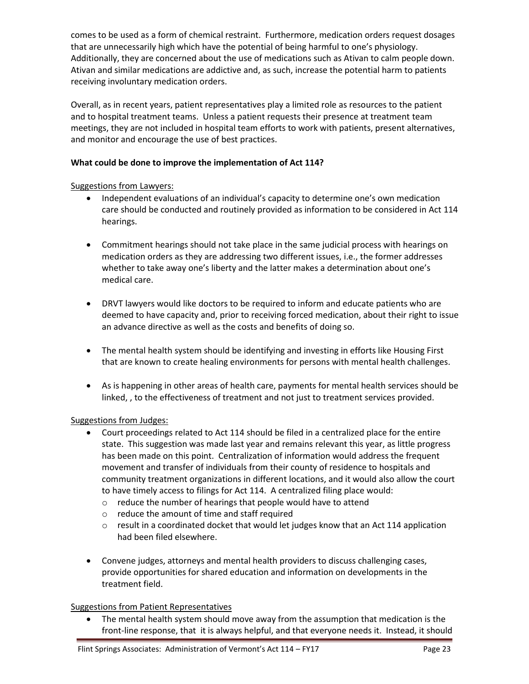comes to be used as a form of chemical restraint. Furthermore, medication orders request dosages that are unnecessarily high which have the potential of being harmful to one's physiology. Additionally, they are concerned about the use of medications such as Ativan to calm people down. Ativan and similar medications are addictive and, as such, increase the potential harm to patients receiving involuntary medication orders.

Overall, as in recent years, patient representatives play a limited role as resources to the patient and to hospital treatment teams. Unless a patient requests their presence at treatment team meetings, they are not included in hospital team efforts to work with patients, present alternatives, and monitor and encourage the use of best practices.

## **What could be done to improve the implementation of Act 114?**

## Suggestions from Lawyers:

- Independent evaluations of an individual's capacity to determine one's own medication care should be conducted and routinely provided as information to be considered in Act 114 hearings.
- Commitment hearings should not take place in the same judicial process with hearings on medication orders as they are addressing two different issues, i.e., the former addresses whether to take away one's liberty and the latter makes a determination about one's medical care.
- DRVT lawyers would like doctors to be required to inform and educate patients who are deemed to have capacity and, prior to receiving forced medication, about their right to issue an advance directive as well as the costs and benefits of doing so.
- The mental health system should be identifying and investing in efforts like Housing First that are known to create healing environments for persons with mental health challenges.
- As is happening in other areas of health care, payments for mental health services should be linked, , to the effectiveness of treatment and not just to treatment services provided.

# Suggestions from Judges:

- Court proceedings related to Act 114 should be filed in a centralized place for the entire state. This suggestion was made last year and remains relevant this year, as little progress has been made on this point. Centralization of information would address the frequent movement and transfer of individuals from their county of residence to hospitals and community treatment organizations in different locations, and it would also allow the court to have timely access to filings for Act 114. A centralized filing place would:
	- o reduce the number of hearings that people would have to attend
	- o reduce the amount of time and staff required
	- $\circ$  result in a coordinated docket that would let judges know that an Act 114 application had been filed elsewhere.
- Convene judges, attorneys and mental health providers to discuss challenging cases, provide opportunities for shared education and information on developments in the treatment field.

## Suggestions from Patient Representatives

 The mental health system should move away from the assumption that medication is the front-line response, that it is always helpful, and that everyone needs it. Instead, it should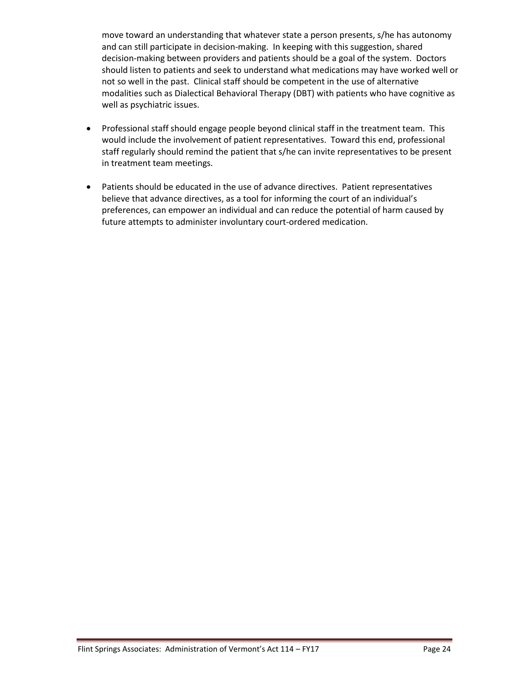move toward an understanding that whatever state a person presents, s/he has autonomy and can still participate in decision-making. In keeping with this suggestion, shared decision-making between providers and patients should be a goal of the system. Doctors should listen to patients and seek to understand what medications may have worked well or not so well in the past. Clinical staff should be competent in the use of alternative modalities such as Dialectical Behavioral Therapy (DBT) with patients who have cognitive as well as psychiatric issues.

- Professional staff should engage people beyond clinical staff in the treatment team. This would include the involvement of patient representatives. Toward this end, professional staff regularly should remind the patient that s/he can invite representatives to be present in treatment team meetings.
- Patients should be educated in the use of advance directives. Patient representatives believe that advance directives, as a tool for informing the court of an individual's preferences, can empower an individual and can reduce the potential of harm caused by future attempts to administer involuntary court-ordered medication.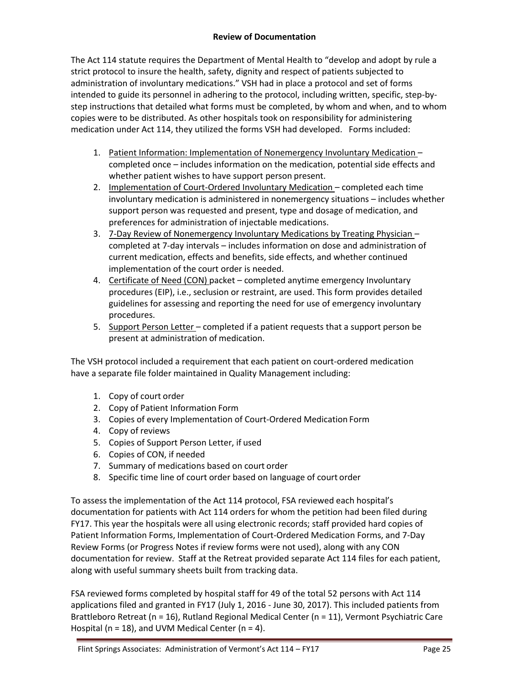## **Review of Documentation**

The Act 114 statute requires the Department of Mental Health to "develop and adopt by rule a strict protocol to insure the health, safety, dignity and respect of patients subjected to administration of involuntary medications." VSH had in place a protocol and set of forms intended to guide its personnel in adhering to the protocol, including written, specific, step-bystep instructions that detailed what forms must be completed, by whom and when, and to whom copies were to be distributed. As other hospitals took on responsibility for administering medication under Act 114, they utilized the forms VSH had developed. Forms included:

- 1. Patient Information: Implementation of Nonemergency Involuntary Medication completed once – includes information on the medication, potential side effects and whether patient wishes to have support person present.
- 2. Implementation of Court-Ordered Involuntary Medication completed each time involuntary medication is administered in nonemergency situations – includes whether support person was requested and present, type and dosage of medication, and preferences for administration of injectable medications.
- 3. 7-Day Review of Nonemergency Involuntary Medications by Treating Physician completed at 7-day intervals – includes information on dose and administration of current medication, effects and benefits, side effects, and whether continued implementation of the court order is needed.
- 4. Certificate of Need (CON) packet completed anytime emergency Involuntary procedures (EIP), i.e., seclusion or restraint, are used. This form provides detailed guidelines for assessing and reporting the need for use of emergency involuntary procedures.
- 5. Support Person Letter completed if a patient requests that a support person be present at administration of medication.

The VSH protocol included a requirement that each patient on court-ordered medication have a separate file folder maintained in Quality Management including:

- 1. Copy of court order
- 2. Copy of Patient Information Form
- 3. Copies of every Implementation of Court-Ordered Medication Form
- 4. Copy of reviews
- 5. Copies of Support Person Letter, if used
- 6. Copies of CON, if needed
- 7. Summary of medications based on court order
- 8. Specific time line of court order based on language of court order

To assess the implementation of the Act 114 protocol, FSA reviewed each hospital's documentation for patients with Act 114 orders for whom the petition had been filed during FY17. This year the hospitals were all using electronic records; staff provided hard copies of Patient Information Forms, Implementation of Court-Ordered Medication Forms, and 7-Day Review Forms (or Progress Notes if review forms were not used), along with any CON documentation for review. Staff at the Retreat provided separate Act 114 files for each patient, along with useful summary sheets built from tracking data.

FSA reviewed forms completed by hospital staff for 49 of the total 52 persons with Act 114 applications filed and granted in FY17 (July 1, 2016 - June 30, 2017). This included patients from Brattleboro Retreat (n = 16), Rutland Regional Medical Center (n = 11), Vermont Psychiatric Care Hospital ( $n = 18$ ), and UVM Medical Center ( $n = 4$ ).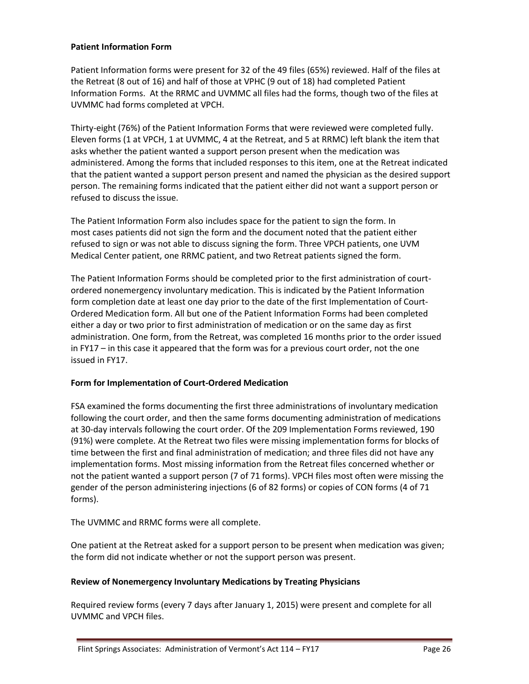#### **Patient Information Form**

Patient Information forms were present for 32 of the 49 files (65%) reviewed. Half of the files at the Retreat (8 out of 16) and half of those at VPHC (9 out of 18) had completed Patient Information Forms. At the RRMC and UVMMC all files had the forms, though two of the files at UVMMC had forms completed at VPCH.

Thirty-eight (76%) of the Patient Information Forms that were reviewed were completed fully. Eleven forms (1 at VPCH, 1 at UVMMC, 4 at the Retreat, and 5 at RRMC) left blank the item that asks whether the patient wanted a support person present when the medication was administered. Among the forms that included responses to this item, one at the Retreat indicated that the patient wanted a support person present and named the physician as the desired support person. The remaining forms indicated that the patient either did not want a support person or refused to discuss the issue.

The Patient Information Form also includes space for the patient to sign the form. In most cases patients did not sign the form and the document noted that the patient either refused to sign or was not able to discuss signing the form. Three VPCH patients, one UVM Medical Center patient, one RRMC patient, and two Retreat patients signed the form.

The Patient Information Forms should be completed prior to the first administration of courtordered nonemergency involuntary medication. This is indicated by the Patient Information form completion date at least one day prior to the date of the first Implementation of Court-Ordered Medication form. All but one of the Patient Information Forms had been completed either a day or two prior to first administration of medication or on the same day as first administration. One form, from the Retreat, was completed 16 months prior to the order issued in FY17 – in this case it appeared that the form was for a previous court order, not the one issued in FY17.

## **Form for Implementation of Court-Ordered Medication**

FSA examined the forms documenting the first three administrations of involuntary medication following the court order, and then the same forms documenting administration of medications at 30-day intervals following the court order. Of the 209 Implementation Forms reviewed, 190 (91%) were complete. At the Retreat two files were missing implementation forms for blocks of time between the first and final administration of medication; and three files did not have any implementation forms. Most missing information from the Retreat files concerned whether or not the patient wanted a support person (7 of 71 forms). VPCH files most often were missing the gender of the person administering injections (6 of 82 forms) or copies of CON forms (4 of 71 forms).

The UVMMC and RRMC forms were all complete.

One patient at the Retreat asked for a support person to be present when medication was given; the form did not indicate whether or not the support person was present.

## **Review of Nonemergency Involuntary Medications by Treating Physicians**

Required review forms (every 7 days after January 1, 2015) were present and complete for all UVMMC and VPCH files.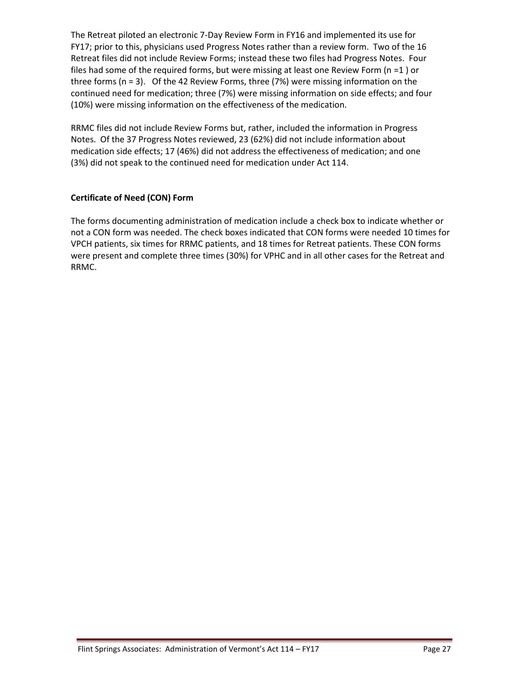The Retreat piloted an electronic 7-Day Review Form in FY16 and implemented its use for FY17; prior to this, physicians used Progress Notes rather than a review form. Two of the 16 Retreat files did not include Review Forms; instead these two files had Progress Notes. Four files had some of the required forms, but were missing at least one Review Form (n =1 ) or three forms (n = 3). Of the 42 Review Forms, three (7%) were missing information on the continued need for medication; three (7%) were missing information on side effects; and four (10%) were missing information on the effectiveness of the medication.

RRMC files did not include Review Forms but, rather, included the information in Progress Notes. Of the 37 Progress Notes reviewed, 23 (62%) did not include information about medication side effects; 17 (46%) did not address the effectiveness of medication; and one (3%) did not speak to the continued need for medication under Act 114.

# **Certificate of Need (CON) Form**

The forms documenting administration of medication include a check box to indicate whether or not a CON form was needed. The check boxes indicated that CON forms were needed 10 times for VPCH patients, six times for RRMC patients, and 18 times for Retreat patients. These CON forms were present and complete three times (30%) for VPHC and in all other cases for the Retreat and RRMC.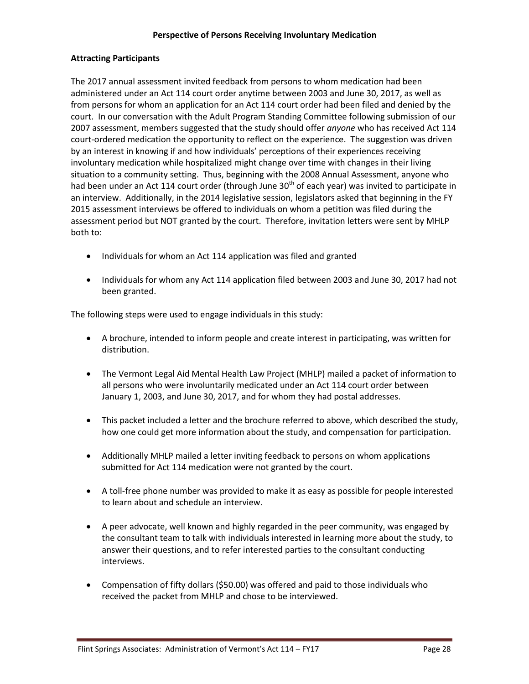## **Attracting Participants**

The 2017 annual assessment invited feedback from persons to whom medication had been administered under an Act 114 court order anytime between 2003 and June 30, 2017, as well as from persons for whom an application for an Act 114 court order had been filed and denied by the court. In our conversation with the Adult Program Standing Committee following submission of our 2007 assessment, members suggested that the study should offer *anyone* who has received Act 114 court-ordered medication the opportunity to reflect on the experience. The suggestion was driven by an interest in knowing if and how individuals' perceptions of their experiences receiving involuntary medication while hospitalized might change over time with changes in their living situation to a community setting. Thus, beginning with the 2008 Annual Assessment, anyone who had been under an Act 114 court order (through June 30<sup>th</sup> of each year) was invited to participate in an interview. Additionally, in the 2014 legislative session, legislators asked that beginning in the FY 2015 assessment interviews be offered to individuals on whom a petition was filed during the assessment period but NOT granted by the court. Therefore, invitation letters were sent by MHLP both to:

- Individuals for whom an Act 114 application was filed and granted
- Individuals for whom any Act 114 application filed between 2003 and June 30, 2017 had not been granted.

The following steps were used to engage individuals in this study:

- A brochure, intended to inform people and create interest in participating, was written for distribution.
- The Vermont Legal Aid Mental Health Law Project (MHLP) mailed a packet of information to all persons who were involuntarily medicated under an Act 114 court order between January 1, 2003, and June 30, 2017, and for whom they had postal addresses.
- This packet included a letter and the brochure referred to above, which described the study, how one could get more information about the study, and compensation for participation.
- Additionally MHLP mailed a letter inviting feedback to persons on whom applications submitted for Act 114 medication were not granted by the court.
- A toll-free phone number was provided to make it as easy as possible for people interested to learn about and schedule an interview.
- A peer advocate, well known and highly regarded in the peer community, was engaged by the consultant team to talk with individuals interested in learning more about the study, to answer their questions, and to refer interested parties to the consultant conducting interviews.
- Compensation of fifty dollars (\$50.00) was offered and paid to those individuals who received the packet from MHLP and chose to be interviewed.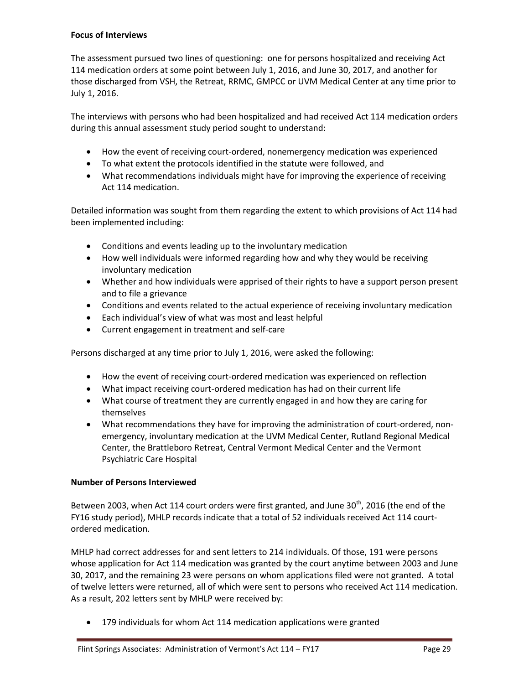## **Focus of Interviews**

The assessment pursued two lines of questioning: one for persons hospitalized and receiving Act 114 medication orders at some point between July 1, 2016, and June 30, 2017, and another for those discharged from VSH, the Retreat, RRMC, GMPCC or UVM Medical Center at any time prior to July 1, 2016.

The interviews with persons who had been hospitalized and had received Act 114 medication orders during this annual assessment study period sought to understand:

- How the event of receiving court-ordered, nonemergency medication was experienced
- To what extent the protocols identified in the statute were followed, and
- What recommendations individuals might have for improving the experience of receiving Act 114 medication.

Detailed information was sought from them regarding the extent to which provisions of Act 114 had been implemented including:

- Conditions and events leading up to the involuntary medication
- How well individuals were informed regarding how and why they would be receiving involuntary medication
- Whether and how individuals were apprised of their rights to have a support person present and to file a grievance
- Conditions and events related to the actual experience of receiving involuntary medication
- Each individual's view of what was most and least helpful
- Current engagement in treatment and self-care

Persons discharged at any time prior to July 1, 2016, were asked the following:

- How the event of receiving court-ordered medication was experienced on reflection
- What impact receiving court-ordered medication has had on their current life
- What course of treatment they are currently engaged in and how they are caring for themselves
- What recommendations they have for improving the administration of court-ordered, nonemergency, involuntary medication at the UVM Medical Center, Rutland Regional Medical Center, the Brattleboro Retreat, Central Vermont Medical Center and the Vermont Psychiatric Care Hospital

## **Number of Persons Interviewed**

Between 2003, when Act 114 court orders were first granted, and June 30<sup>th</sup>, 2016 (the end of the FY16 study period), MHLP records indicate that a total of 52 individuals received Act 114 courtordered medication.

MHLP had correct addresses for and sent letters to 214 individuals. Of those, 191 were persons whose application for Act 114 medication was granted by the court anytime between 2003 and June 30, 2017, and the remaining 23 were persons on whom applications filed were not granted. A total of twelve letters were returned, all of which were sent to persons who received Act 114 medication. As a result, 202 letters sent by MHLP were received by:

179 individuals for whom Act 114 medication applications were granted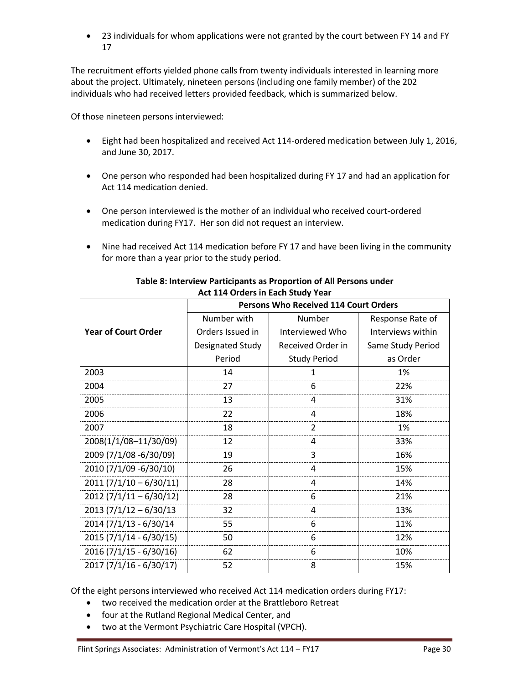23 individuals for whom applications were not granted by the court between FY 14 and FY 17

The recruitment efforts yielded phone calls from twenty individuals interested in learning more about the project. Ultimately, nineteen persons (including one family member) of the 202 individuals who had received letters provided feedback, which is summarized below.

Of those nineteen persons interviewed:

- Eight had been hospitalized and received Act 114-ordered medication between July 1, 2016, and June 30, 2017.
- One person who responded had been hospitalized during FY 17 and had an application for Act 114 medication denied.
- One person interviewed is the mother of an individual who received court-ordered medication during FY17. Her son did not request an interview.
- Nine had received Act 114 medication before FY 17 and have been living in the community for more than a year prior to the study period.

|                            | <b>Persons Who Received 114 Court Orders</b> |                     |                   |  |  |  |  |
|----------------------------|----------------------------------------------|---------------------|-------------------|--|--|--|--|
|                            | Number with                                  | Number              | Response Rate of  |  |  |  |  |
| <b>Year of Court Order</b> | Orders Issued in                             | Interviewed Who     | Interviews within |  |  |  |  |
|                            | Designated Study                             | Received Order in   | Same Study Period |  |  |  |  |
|                            | Period                                       | <b>Study Period</b> | as Order          |  |  |  |  |
| 2003                       | 14                                           | 1                   | 1%                |  |  |  |  |
| 2004                       | 27                                           | 6                   | 22%               |  |  |  |  |
| 2005                       | 13                                           | 4                   | 31%               |  |  |  |  |
| 2006                       | 22                                           | 4                   | 18%               |  |  |  |  |
| 2007                       | 18                                           | $\mathfrak{p}$      | 1%                |  |  |  |  |
| 2008(1/1/08-11/30/09)      | 12                                           | 4                   | 33%               |  |  |  |  |
| 2009 (7/1/08 -6/30/09)     | 19                                           | 3                   | 16%               |  |  |  |  |
| 2010 (7/1/09 -6/30/10)     | 26                                           | 4                   | 15%               |  |  |  |  |
| $2011 (7/1/10 - 6/30/11)$  | 28                                           | 4                   | 14%               |  |  |  |  |
| $2012(7/1/11-6/30/12)$     | 28                                           | 6                   | 21%               |  |  |  |  |
| $2013 (7/1/12 - 6/30/13)$  | 32                                           | 4                   | 13%               |  |  |  |  |
| 2014 (7/1/13 - 6/30/14     | 55                                           | 6                   | 11%               |  |  |  |  |
| 2015 (7/1/14 - 6/30/15)    | 50                                           | 6                   | 12%               |  |  |  |  |
| $2016(7/1/15 - 6/30/16)$   | 62                                           | 6                   | 10%               |  |  |  |  |
| $2017(7/1/16 - 6/30/17)$   | 52                                           | 8                   | 15%               |  |  |  |  |

## **Table 8: Interview Participants as Proportion of All Persons under Act 114 Orders in Each Study Year**

Of the eight persons interviewed who received Act 114 medication orders during FY17:

- two received the medication order at the Brattleboro Retreat
- four at the Rutland Regional Medical Center, and
- two at the Vermont Psychiatric Care Hospital (VPCH).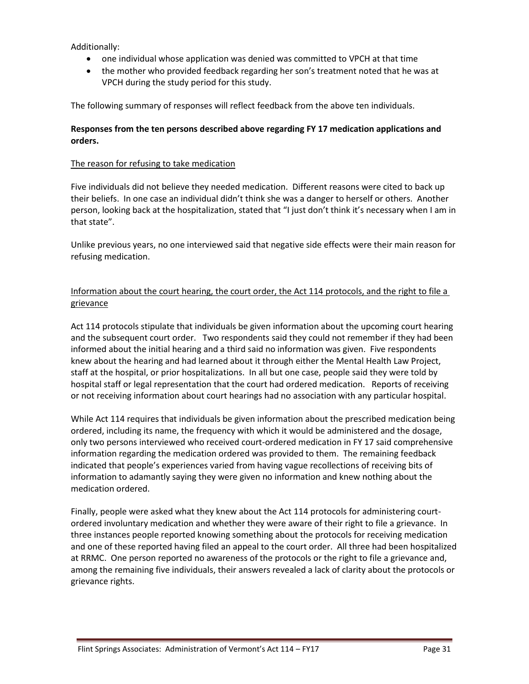Additionally:

- one individual whose application was denied was committed to VPCH at that time
- the mother who provided feedback regarding her son's treatment noted that he was at VPCH during the study period for this study.

The following summary of responses will reflect feedback from the above ten individuals.

## **Responses from the ten persons described above regarding FY 17 medication applications and orders.**

## The reason for refusing to take medication

Five individuals did not believe they needed medication. Different reasons were cited to back up their beliefs. In one case an individual didn't think she was a danger to herself or others. Another person, looking back at the hospitalization, stated that "I just don't think it's necessary when I am in that state".

Unlike previous years, no one interviewed said that negative side effects were their main reason for refusing medication.

# Information about the court hearing, the court order, the Act 114 protocols, and the right to file a grievance

Act 114 protocols stipulate that individuals be given information about the upcoming court hearing and the subsequent court order. Two respondents said they could not remember if they had been informed about the initial hearing and a third said no information was given. Five respondents knew about the hearing and had learned about it through either the Mental Health Law Project, staff at the hospital, or prior hospitalizations. In all but one case, people said they were told by hospital staff or legal representation that the court had ordered medication. Reports of receiving or not receiving information about court hearings had no association with any particular hospital.

While Act 114 requires that individuals be given information about the prescribed medication being ordered, including its name, the frequency with which it would be administered and the dosage, only two persons interviewed who received court-ordered medication in FY 17 said comprehensive information regarding the medication ordered was provided to them. The remaining feedback indicated that people's experiences varied from having vague recollections of receiving bits of information to adamantly saying they were given no information and knew nothing about the medication ordered.

Finally, people were asked what they knew about the Act 114 protocols for administering courtordered involuntary medication and whether they were aware of their right to file a grievance. In three instances people reported knowing something about the protocols for receiving medication and one of these reported having filed an appeal to the court order. All three had been hospitalized at RRMC. One person reported no awareness of the protocols or the right to file a grievance and, among the remaining five individuals, their answers revealed a lack of clarity about the protocols or grievance rights.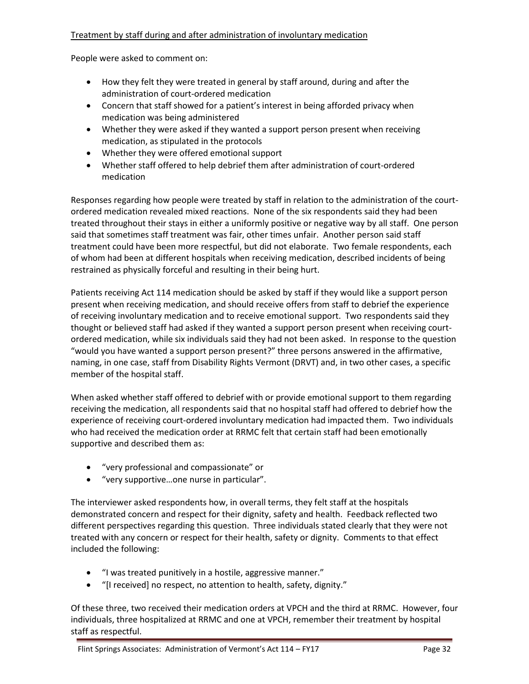## Treatment by staff during and after administration of involuntary medication

People were asked to comment on:

- How they felt they were treated in general by staff around, during and after the administration of court-ordered medication
- Concern that staff showed for a patient's interest in being afforded privacy when medication was being administered
- Whether they were asked if they wanted a support person present when receiving medication, as stipulated in the protocols
- Whether they were offered emotional support
- Whether staff offered to help debrief them after administration of court-ordered medication

Responses regarding how people were treated by staff in relation to the administration of the courtordered medication revealed mixed reactions. None of the six respondents said they had been treated throughout their stays in either a uniformly positive or negative way by all staff. One person said that sometimes staff treatment was fair, other times unfair. Another person said staff treatment could have been more respectful, but did not elaborate. Two female respondents, each of whom had been at different hospitals when receiving medication, described incidents of being restrained as physically forceful and resulting in their being hurt.

Patients receiving Act 114 medication should be asked by staff if they would like a support person present when receiving medication, and should receive offers from staff to debrief the experience of receiving involuntary medication and to receive emotional support. Two respondents said they thought or believed staff had asked if they wanted a support person present when receiving courtordered medication, while six individuals said they had not been asked. In response to the question "would you have wanted a support person present?" three persons answered in the affirmative, naming, in one case, staff from Disability Rights Vermont (DRVT) and, in two other cases, a specific member of the hospital staff.

When asked whether staff offered to debrief with or provide emotional support to them regarding receiving the medication, all respondents said that no hospital staff had offered to debrief how the experience of receiving court-ordered involuntary medication had impacted them. Two individuals who had received the medication order at RRMC felt that certain staff had been emotionally supportive and described them as:

- "very professional and compassionate" or
- "very supportive…one nurse in particular".

The interviewer asked respondents how, in overall terms, they felt staff at the hospitals demonstrated concern and respect for their dignity, safety and health. Feedback reflected two different perspectives regarding this question. Three individuals stated clearly that they were not treated with any concern or respect for their health, safety or dignity. Comments to that effect included the following:

- "I was treated punitively in a hostile, aggressive manner."
- "[I received] no respect, no attention to health, safety, dignity."

Of these three, two received their medication orders at VPCH and the third at RRMC. However, four individuals, three hospitalized at RRMC and one at VPCH, remember their treatment by hospital staff as respectful.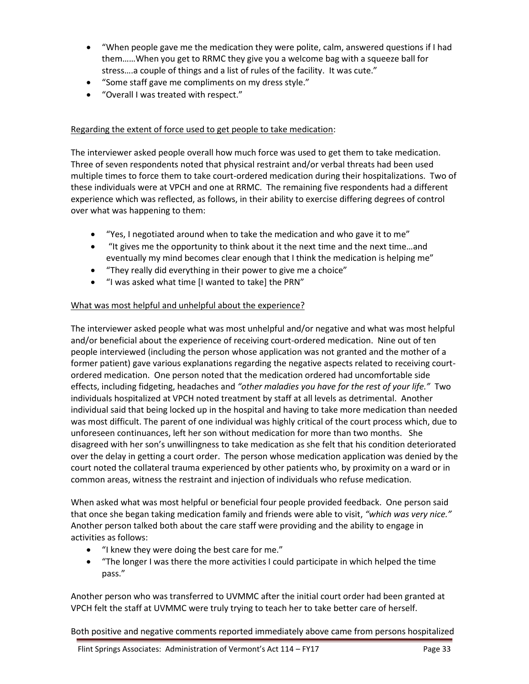- "When people gave me the medication they were polite, calm, answered questions if I had them……When you get to RRMC they give you a welcome bag with a squeeze ball for stress….a couple of things and a list of rules of the facility. It was cute."
- "Some staff gave me compliments on my dress style."
- "Overall I was treated with respect."

## Regarding the extent of force used to get people to take medication:

The interviewer asked people overall how much force was used to get them to take medication. Three of seven respondents noted that physical restraint and/or verbal threats had been used multiple times to force them to take court-ordered medication during their hospitalizations. Two of these individuals were at VPCH and one at RRMC. The remaining five respondents had a different experience which was reflected, as follows, in their ability to exercise differing degrees of control over what was happening to them:

- "Yes, I negotiated around when to take the medication and who gave it to me"
- "It gives me the opportunity to think about it the next time and the next time…and eventually my mind becomes clear enough that I think the medication is helping me"
- "They really did everything in their power to give me a choice"
- "I was asked what time [I wanted to take] the PRN"

## What was most helpful and unhelpful about the experience?

The interviewer asked people what was most unhelpful and/or negative and what was most helpful and/or beneficial about the experience of receiving court-ordered medication. Nine out of ten people interviewed (including the person whose application was not granted and the mother of a former patient) gave various explanations regarding the negative aspects related to receiving courtordered medication. One person noted that the medication ordered had uncomfortable side effects, including fidgeting, headaches and *"other maladies you have for the rest of your life."* Two individuals hospitalized at VPCH noted treatment by staff at all levels as detrimental. Another individual said that being locked up in the hospital and having to take more medication than needed was most difficult. The parent of one individual was highly critical of the court process which, due to unforeseen continuances, left her son without medication for more than two months. She disagreed with her son's unwillingness to take medication as she felt that his condition deteriorated over the delay in getting a court order. The person whose medication application was denied by the court noted the collateral trauma experienced by other patients who, by proximity on a ward or in common areas, witness the restraint and injection of individuals who refuse medication.

When asked what was most helpful or beneficial four people provided feedback. One person said that once she began taking medication family and friends were able to visit, *"which was very nice."* Another person talked both about the care staff were providing and the ability to engage in activities as follows:

- "I knew they were doing the best care for me."
- "The longer I was there the more activities I could participate in which helped the time pass."

Another person who was transferred to UVMMC after the initial court order had been granted at VPCH felt the staff at UVMMC were truly trying to teach her to take better care of herself.

Both positive and negative comments reported immediately above came from persons hospitalized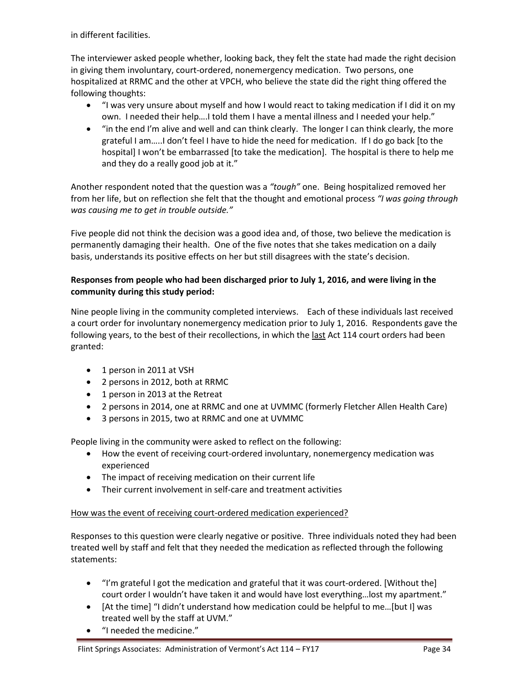in different facilities.

The interviewer asked people whether, looking back, they felt the state had made the right decision in giving them involuntary, court-ordered, nonemergency medication. Two persons, one hospitalized at RRMC and the other at VPCH, who believe the state did the right thing offered the following thoughts:

- "I was very unsure about myself and how I would react to taking medication if I did it on my own. I needed their help….I told them I have a mental illness and I needed your help."
- "in the end I'm alive and well and can think clearly. The longer I can think clearly, the more grateful I am…..I don't feel I have to hide the need for medication. If I do go back [to the hospital] I won't be embarrassed [to take the medication]. The hospital is there to help me and they do a really good job at it."

Another respondent noted that the question was a *"tough"* one. Being hospitalized removed her from her life, but on reflection she felt that the thought and emotional process *"I was going through was causing me to get in trouble outside."*

Five people did not think the decision was a good idea and, of those, two believe the medication is permanently damaging their health. One of the five notes that she takes medication on a daily basis, understands its positive effects on her but still disagrees with the state's decision.

# **Responses from people who had been discharged prior to July 1, 2016, and were living in the community during this study period:**

Nine people living in the community completed interviews. Each of these individuals last received a court order for involuntary nonemergency medication prior to July 1, 2016. Respondents gave the following years, to the best of their recollections, in which the last Act 114 court orders had been granted:

- 1 person in 2011 at VSH
- 2 persons in 2012, both at RRMC
- 1 person in 2013 at the Retreat
- 2 persons in 2014, one at RRMC and one at UVMMC (formerly Fletcher Allen Health Care)
- 3 persons in 2015, two at RRMC and one at UVMMC

People living in the community were asked to reflect on the following:

- How the event of receiving court-ordered involuntary, nonemergency medication was experienced
- The impact of receiving medication on their current life
- Their current involvement in self-care and treatment activities

# How was the event of receiving court-ordered medication experienced?

Responses to this question were clearly negative or positive. Three individuals noted they had been treated well by staff and felt that they needed the medication as reflected through the following statements:

- "I'm grateful I got the medication and grateful that it was court-ordered. [Without the] court order I wouldn't have taken it and would have lost everything…lost my apartment."
- [At the time] "I didn't understand how medication could be helpful to me…[but I] was treated well by the staff at UVM."
- "I needed the medicine."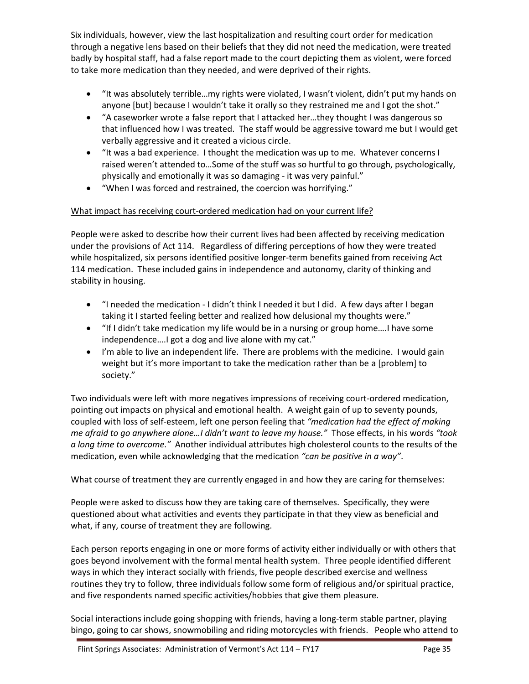Six individuals, however, view the last hospitalization and resulting court order for medication through a negative lens based on their beliefs that they did not need the medication, were treated badly by hospital staff, had a false report made to the court depicting them as violent, were forced to take more medication than they needed, and were deprived of their rights.

- "It was absolutely terrible…my rights were violated, I wasn't violent, didn't put my hands on anyone [but] because I wouldn't take it orally so they restrained me and I got the shot."
- "A caseworker wrote a false report that I attacked her…they thought I was dangerous so that influenced how I was treated. The staff would be aggressive toward me but I would get verbally aggressive and it created a vicious circle.
- "It was a bad experience. I thought the medication was up to me. Whatever concerns I raised weren't attended to…Some of the stuff was so hurtful to go through, psychologically, physically and emotionally it was so damaging - it was very painful."
- "When I was forced and restrained, the coercion was horrifying."

# What impact has receiving court-ordered medication had on your current life?

People were asked to describe how their current lives had been affected by receiving medication under the provisions of Act 114. Regardless of differing perceptions of how they were treated while hospitalized, six persons identified positive longer-term benefits gained from receiving Act 114 medication. These included gains in independence and autonomy, clarity of thinking and stability in housing.

- "I needed the medication I didn't think I needed it but I did. A few days after I began taking it I started feeling better and realized how delusional my thoughts were."
- "If I didn't take medication my life would be in a nursing or group home….I have some independence….I got a dog and live alone with my cat."
- I'm able to live an independent life. There are problems with the medicine. I would gain weight but it's more important to take the medication rather than be a [problem] to society."

Two individuals were left with more negatives impressions of receiving court-ordered medication, pointing out impacts on physical and emotional health. A weight gain of up to seventy pounds, coupled with loss of self-esteem, left one person feeling that *"medication had the effect of making me afraid to go anywhere alone…I didn't want to leave my house."* Those effects, in his words *"took a long time to overcome."* Another individual attributes high cholesterol counts to the results of the medication, even while acknowledging that the medication *"can be positive in a way"*.

# What course of treatment they are currently engaged in and how they are caring for themselves:

People were asked to discuss how they are taking care of themselves. Specifically, they were questioned about what activities and events they participate in that they view as beneficial and what, if any, course of treatment they are following.

Each person reports engaging in one or more forms of activity either individually or with others that goes beyond involvement with the formal mental health system. Three people identified different ways in which they interact socially with friends, five people described exercise and wellness routines they try to follow, three individuals follow some form of religious and/or spiritual practice, and five respondents named specific activities/hobbies that give them pleasure.

Social interactions include going shopping with friends, having a long-term stable partner, playing bingo, going to car shows, snowmobiling and riding motorcycles with friends. People who attend to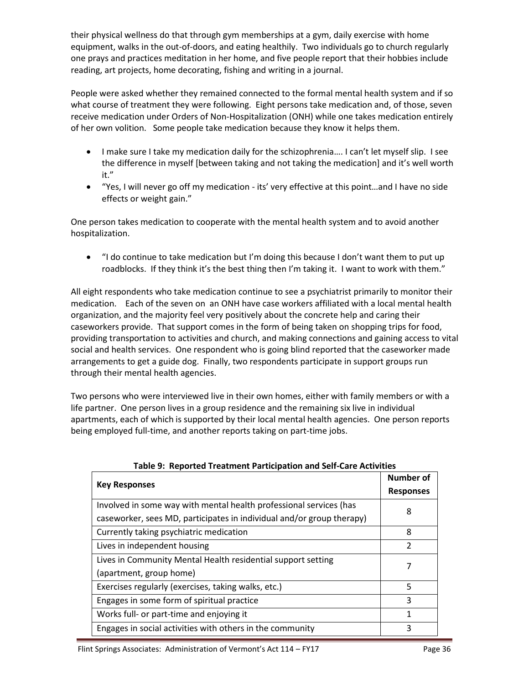their physical wellness do that through gym memberships at a gym, daily exercise with home equipment, walks in the out-of-doors, and eating healthily. Two individuals go to church regularly one prays and practices meditation in her home, and five people report that their hobbies include reading, art projects, home decorating, fishing and writing in a journal.

People were asked whether they remained connected to the formal mental health system and if so what course of treatment they were following. Eight persons take medication and, of those, seven receive medication under Orders of Non-Hospitalization (ONH) while one takes medication entirely of her own volition. Some people take medication because they know it helps them.

- I make sure I take my medication daily for the schizophrenia…. I can't let myself slip. I see the difference in myself [between taking and not taking the medication] and it's well worth it."
- "Yes, I will never go off my medication its' very effective at this point…and I have no side effects or weight gain."

One person takes medication to cooperate with the mental health system and to avoid another hospitalization.

 "I do continue to take medication but I'm doing this because I don't want them to put up roadblocks. If they think it's the best thing then I'm taking it. I want to work with them."

All eight respondents who take medication continue to see a psychiatrist primarily to monitor their medication. Each of the seven on an ONH have case workers affiliated with a local mental health organization, and the majority feel very positively about the concrete help and caring their caseworkers provide. That support comes in the form of being taken on shopping trips for food, providing transportation to activities and church, and making connections and gaining access to vital social and health services. One respondent who is going blind reported that the caseworker made arrangements to get a guide dog. Finally, two respondents participate in support groups run through their mental health agencies.

Two persons who were interviewed live in their own homes, either with family members or with a life partner. One person lives in a group residence and the remaining six live in individual apartments, each of which is supported by their local mental health agencies. One person reports being employed full-time, and another reports taking on part-time jobs.

|                                                                       | <b>Number of</b>         |
|-----------------------------------------------------------------------|--------------------------|
| <b>Key Responses</b>                                                  | <b>Responses</b>         |
| Involved in some way with mental health professional services (has    | 8                        |
| caseworker, sees MD, participates in individual and/or group therapy) |                          |
| Currently taking psychiatric medication                               | 8                        |
| Lives in independent housing                                          | $\overline{\mathcal{L}}$ |
| Lives in Community Mental Health residential support setting          | 7                        |
| (apartment, group home)                                               |                          |
| Exercises regularly (exercises, taking walks, etc.)                   | 5                        |
| Engages in some form of spiritual practice                            | 3                        |
| Works full- or part-time and enjoying it                              | 1                        |
| Engages in social activities with others in the community             | 3                        |

**Table 9: Reported Treatment Participation and Self-Care Activities**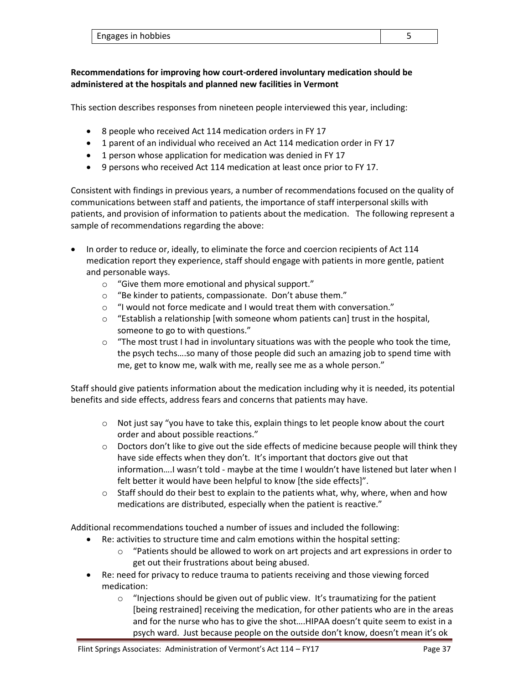| Engages in hobbies |  |
|--------------------|--|
|                    |  |

# **Recommendations for improving how court-ordered involuntary medication should be administered at the hospitals and planned new facilities in Vermont**

This section describes responses from nineteen people interviewed this year, including:

- 8 people who received Act 114 medication orders in FY 17
- 1 parent of an individual who received an Act 114 medication order in FY 17
- 1 person whose application for medication was denied in FY 17
- 9 persons who received Act 114 medication at least once prior to FY 17.

Consistent with findings in previous years, a number of recommendations focused on the quality of communications between staff and patients, the importance of staff interpersonal skills with patients, and provision of information to patients about the medication. The following represent a sample of recommendations regarding the above:

- In order to reduce or, ideally, to eliminate the force and coercion recipients of Act 114 medication report they experience, staff should engage with patients in more gentle, patient and personable ways.
	- o "Give them more emotional and physical support."
	- o "Be kinder to patients, compassionate. Don't abuse them."
	- o "I would not force medicate and I would treat them with conversation."
	- $\circ$  "Establish a relationship [with someone whom patients can] trust in the hospital, someone to go to with questions."
	- $\circ$  "The most trust I had in involuntary situations was with the people who took the time, the psych techs….so many of those people did such an amazing job to spend time with me, get to know me, walk with me, really see me as a whole person."

Staff should give patients information about the medication including why it is needed, its potential benefits and side effects, address fears and concerns that patients may have.

- $\circ$  Not just say "you have to take this, explain things to let people know about the court order and about possible reactions."
- $\circ$  Doctors don't like to give out the side effects of medicine because people will think they have side effects when they don't. It's important that doctors give out that information….I wasn't told - maybe at the time I wouldn't have listened but later when I felt better it would have been helpful to know [the side effects]".
- $\circ$  Staff should do their best to explain to the patients what, why, where, when and how medications are distributed, especially when the patient is reactive."

Additional recommendations touched a number of issues and included the following:

- Re: activities to structure time and calm emotions within the hospital setting:
	- o "Patients should be allowed to work on art projects and art expressions in order to get out their frustrations about being abused.
- Re: need for privacy to reduce trauma to patients receiving and those viewing forced medication:
	- o "Injections should be given out of public view. It's traumatizing for the patient [being restrained] receiving the medication, for other patients who are in the areas and for the nurse who has to give the shot….HIPAA doesn't quite seem to exist in a psych ward. Just because people on the outside don't know, doesn't mean it's ok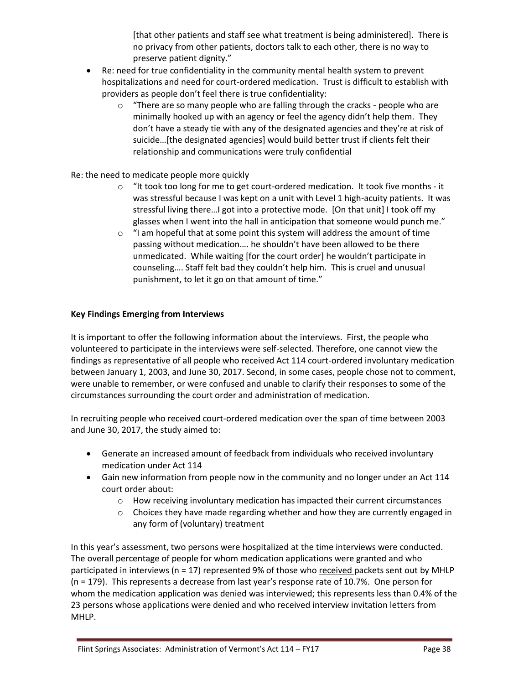[that other patients and staff see what treatment is being administered]. There is no privacy from other patients, doctors talk to each other, there is no way to preserve patient dignity."

- Re: need for true confidentiality in the community mental health system to prevent hospitalizations and need for court-ordered medication. Trust is difficult to establish with providers as people don't feel there is true confidentiality:
	- o "There are so many people who are falling through the cracks people who are minimally hooked up with an agency or feel the agency didn't help them. They don't have a steady tie with any of the designated agencies and they're at risk of suicide…[the designated agencies] would build better trust if clients felt their relationship and communications were truly confidential

## Re: the need to medicate people more quickly

- o "It took too long for me to get court-ordered medication. It took five months it was stressful because I was kept on a unit with Level 1 high-acuity patients. It was stressful living there…I got into a protective mode. [On that unit] I took off my glasses when I went into the hall in anticipation that someone would punch me."
- o "I am hopeful that at some point this system will address the amount of time passing without medication…. he shouldn't have been allowed to be there unmedicated. While waiting [for the court order] he wouldn't participate in counseling…. Staff felt bad they couldn't help him. This is cruel and unusual punishment, to let it go on that amount of time."

## **Key Findings Emerging from Interviews**

It is important to offer the following information about the interviews. First, the people who volunteered to participate in the interviews were self-selected. Therefore, one cannot view the findings as representative of all people who received Act 114 court-ordered involuntary medication between January 1, 2003, and June 30, 2017. Second, in some cases, people chose not to comment, were unable to remember, or were confused and unable to clarify their responses to some of the circumstances surrounding the court order and administration of medication.

In recruiting people who received court-ordered medication over the span of time between 2003 and June 30, 2017, the study aimed to:

- Generate an increased amount of feedback from individuals who received involuntary medication under Act 114
- Gain new information from people now in the community and no longer under an Act 114 court order about:
	- o How receiving involuntary medication has impacted their current circumstances
	- $\circ$  Choices they have made regarding whether and how they are currently engaged in any form of (voluntary) treatment

In this year's assessment, two persons were hospitalized at the time interviews were conducted. The overall percentage of people for whom medication applications were granted and who participated in interviews (n = 17) represented 9% of those who received packets sent out by MHLP (n = 179). This represents a decrease from last year's response rate of 10.7%. One person for whom the medication application was denied was interviewed; this represents less than 0.4% of the 23 persons whose applications were denied and who received interview invitation letters from MHLP.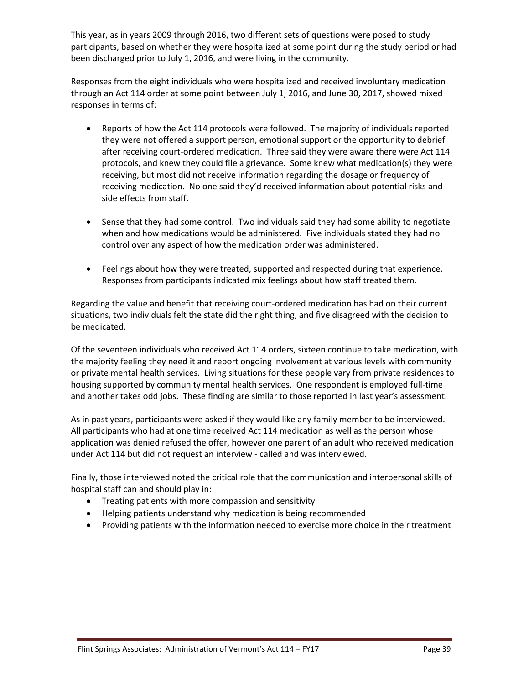This year, as in years 2009 through 2016, two different sets of questions were posed to study participants, based on whether they were hospitalized at some point during the study period or had been discharged prior to July 1, 2016, and were living in the community.

Responses from the eight individuals who were hospitalized and received involuntary medication through an Act 114 order at some point between July 1, 2016, and June 30, 2017, showed mixed responses in terms of:

- Reports of how the Act 114 protocols were followed. The majority of individuals reported they were not offered a support person, emotional support or the opportunity to debrief after receiving court-ordered medication. Three said they were aware there were Act 114 protocols, and knew they could file a grievance. Some knew what medication(s) they were receiving, but most did not receive information regarding the dosage or frequency of receiving medication. No one said they'd received information about potential risks and side effects from staff.
- Sense that they had some control. Two individuals said they had some ability to negotiate when and how medications would be administered. Five individuals stated they had no control over any aspect of how the medication order was administered.
- Feelings about how they were treated, supported and respected during that experience. Responses from participants indicated mix feelings about how staff treated them.

Regarding the value and benefit that receiving court-ordered medication has had on their current situations, two individuals felt the state did the right thing, and five disagreed with the decision to be medicated.

Of the seventeen individuals who received Act 114 orders, sixteen continue to take medication, with the majority feeling they need it and report ongoing involvement at various levels with community or private mental health services. Living situations for these people vary from private residences to housing supported by community mental health services. One respondent is employed full-time and another takes odd jobs. These finding are similar to those reported in last year's assessment.

As in past years, participants were asked if they would like any family member to be interviewed. All participants who had at one time received Act 114 medication as well as the person whose application was denied refused the offer, however one parent of an adult who received medication under Act 114 but did not request an interview - called and was interviewed.

Finally, those interviewed noted the critical role that the communication and interpersonal skills of hospital staff can and should play in:

- Treating patients with more compassion and sensitivity
- Helping patients understand why medication is being recommended
- Providing patients with the information needed to exercise more choice in their treatment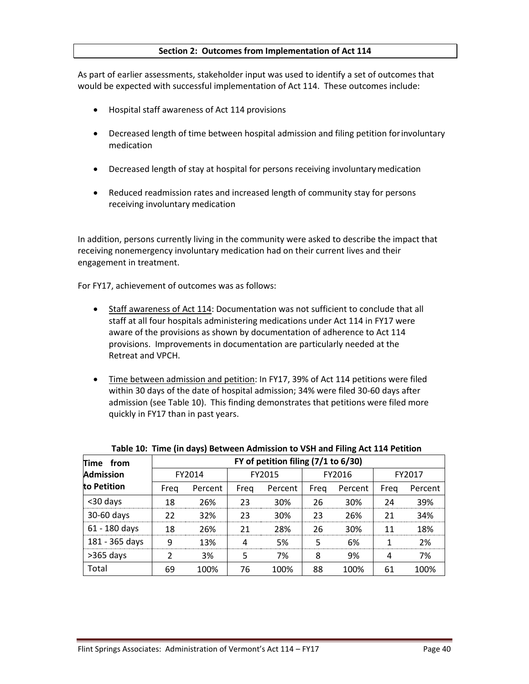#### **Section 2: Outcomes from Implementation of Act 114**

As part of earlier assessments, stakeholder input was used to identify a set of outcomes that would be expected with successful implementation of Act 114. These outcomes include:

- Hospital staff awareness of Act 114 provisions
- Decreased length of time between hospital admission and filing petition forinvoluntary medication
- Decreased length of stay at hospital for persons receiving involuntarymedication
- Reduced readmission rates and increased length of community stay for persons receiving involuntary medication

In addition, persons currently living in the community were asked to describe the impact that receiving nonemergency involuntary medication had on their current lives and their engagement in treatment.

For FY17, achievement of outcomes was as follows:

- Staff awareness of Act 114: Documentation was not sufficient to conclude that all staff at all four hospitals administering medications under Act 114 in FY17 were aware of the provisions as shown by documentation of adherence to Act 114 provisions. Improvements in documentation are particularly needed at the Retreat and VPCH.
- Time between admission and petition: In FY17, 39% of Act 114 petitions were filed within 30 days of the date of hospital admission; 34% were filed 30-60 days after admission (see Table 10). This finding demonstrates that petitions were filed more quickly in FY17 than in past years.

| Time from        | FY of petition filing (7/1 to 6/30) |         |        |                 |        |         |        |         |  |  |
|------------------|-------------------------------------|---------|--------|-----------------|--------|---------|--------|---------|--|--|
| <b>Admission</b> | FY2014                              |         | FY2015 |                 | FY2016 |         | FY2017 |         |  |  |
| to Petition      | Freg                                | Percent | Freg   | Percent         | Freg   | Percent | Freg   | Percent |  |  |
| <30 days         | 18                                  | 26%     | 23     | 30%             | 26     | 30%     | 24     | 39%     |  |  |
| 30-60 days       | 22                                  | 32%     | 23     | 30 <sup>%</sup> | 23     | 26%     | 21     | 34%     |  |  |
| 61 - 180 days    | 18                                  | 26%     | 21     | 28%             | 26     | 30%     | 11     | 18%     |  |  |
| 181 - 365 days   | q                                   | 13%     | Δ      | .5%             | 5      | 6%      |        | 2%      |  |  |
| $>365$ days      | າ                                   | 3%      | 5      | 7%              | 8      | 9%      | 4      | 7%      |  |  |
| Total            | 69                                  | 100%    | 76     | 100%            | 88     | 100%    | 61     | 100%    |  |  |

**Table 10: Time (in days) Between Admission to VSH and Filing Act 114 Petition**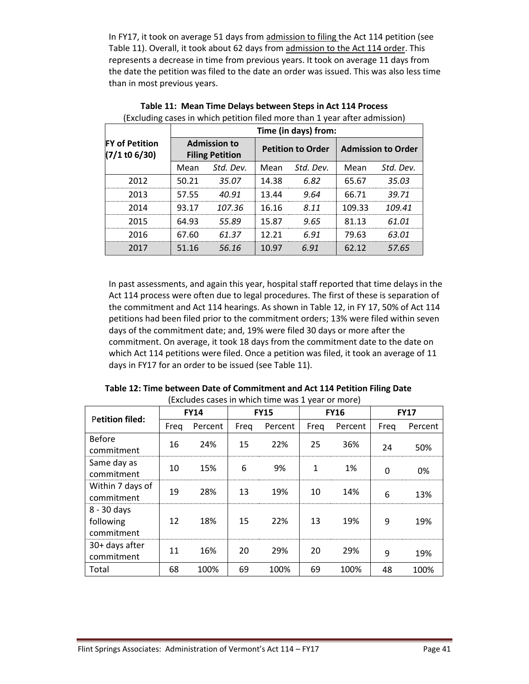In FY17, it took on average 51 days from admission to filing the Act 114 petition (see Table 11). Overall, it took about 62 days from admission to the Act 114 order. This represents a decrease in time from previous years. It took on average 11 days from the date the petition was filed to the date an order was issued. This was also less time than in most previous years.

|                                          | Time (in days) from: |                                               |                   |                          |                           |           |  |  |
|------------------------------------------|----------------------|-----------------------------------------------|-------------------|--------------------------|---------------------------|-----------|--|--|
| <b>FY of Petition</b><br>$(7/1$ to 6/30) |                      | <b>Admission to</b><br><b>Filing Petition</b> |                   | <b>Petition to Order</b> | <b>Admission to Order</b> |           |  |  |
|                                          | Mean                 | Std. Dev.                                     | Std. Dev.<br>Mean |                          | Mean                      | Std. Dev. |  |  |
| 2012                                     | 50.21                | 35.07                                         | 14.38             | 6.82                     | 65.67                     | 35.03     |  |  |
| 2013                                     | 57.55                | 40.91                                         | 13.44             | 9.64                     | 66.71                     | 39.71     |  |  |
| 2014                                     | 93.17                | 107.36                                        | 16.16             | 8.11                     | 109.33                    | 109.41    |  |  |
| 2015                                     | 64.93                | 55.89                                         | 15.87             | 9.65                     | 81.13                     | 61.01     |  |  |
| 2016                                     | 67.60                | 61.37                                         | 12 21             | 6.91                     | 79.63                     | 63.01     |  |  |
| 2017                                     | 51.16                | 56.16                                         | 10.97             | 6.91                     | 62.12                     | 57.65     |  |  |

**Table 11: Mean Time Delays between Steps in Act 114 Process** (Excluding cases in which petition filed more than 1 year after admission)

In past assessments, and again this year, hospital staff reported that time delays in the Act 114 process were often due to legal procedures. The first of these is separation of the commitment and Act 114 hearings. As shown in Table 12, in FY 17, 50% of Act 114 petitions had been filed prior to the commitment orders; 13% were filed within seven days of the commitment date; and, 19% were filed 30 days or more after the commitment. On average, it took 18 days from the commitment date to the date on which Act 114 petitions were filed. Once a petition was filed, it took an average of 11 days in FY17 for an order to be issued (see Table 11).

| $\frac{1}{2}$                          |             |         |             |         |             |         |             |         |
|----------------------------------------|-------------|---------|-------------|---------|-------------|---------|-------------|---------|
| <b>Petition filed:</b>                 | <b>FY14</b> |         | <b>FY15</b> |         | <b>FY16</b> |         | <b>FY17</b> |         |
|                                        | Freq        | Percent | Freq        | Percent | Freq        | Percent | Freq        | Percent |
| <b>Before</b><br>commitment            | 16          | 24%     | 15          | 22%     | 25          | 36%     | 24          | 50%     |
| Same day as<br>commitment              | 10          | 15%     | 6           | 9%      | 1           | 1%      | 0           | 0%      |
| Within 7 days of<br>commitment         | 19          | 28%     | 13          | 19%     | 10          | 14%     | 6           | 13%     |
| 8 - 30 days<br>following<br>commitment | 12          | 18%     | 15          | 22%     | 13          | 19%     | 9           | 19%     |
| 30+ days after<br>commitment           | 11          | 16%     | 20          | 29%     | 20          | 29%     | 9           | 19%     |
| Total                                  | 68          | 100%    | 69          | 100%    | 69          | 100%    | 48          | 100%    |

**Table 12: Time between Date of Commitment and Act 114 Petition Filing Date** (Excludes cases in which time was 1 year or more)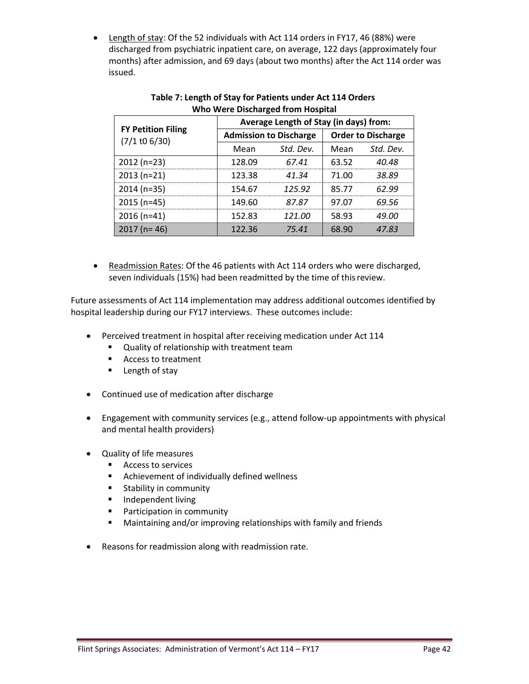• Length of stay: Of the 52 individuals with Act 114 orders in FY17, 46 (88%) were discharged from psychiatric inpatient care, on average, 122 days (approximately four months) after admission, and 69 days (about two months) after the Act 114 order was issued.

|                                              | Average Length of Stay (in days) from: |                               |                           |           |  |  |  |
|----------------------------------------------|----------------------------------------|-------------------------------|---------------------------|-----------|--|--|--|
| <b>FY Petition Filing</b><br>$(7/1$ to 6/30) |                                        | <b>Admission to Discharge</b> | <b>Order to Discharge</b> |           |  |  |  |
|                                              | Mean                                   | Std. Dev.                     | Mean                      | Std. Dev. |  |  |  |
| $2012(n=23)$                                 | 128.09                                 | 67.41                         | 63.52                     | 40.48     |  |  |  |
| $2013(n=21)$                                 | 123.38                                 | 41.34                         | 71.00                     | 38.89     |  |  |  |
| $2014(n=35)$                                 | 154.67                                 | 125.92                        | 85.77                     | 62 99     |  |  |  |
| $2015(n=45)$                                 | 149.60                                 | 87.87                         | 97.07                     | 69 56     |  |  |  |
| $2016(n=41)$                                 | 152.83                                 | 121 NO                        | 58.93                     | 19 N N    |  |  |  |
| $2017$ (n= 46)                               | 122.36                                 | 75 41                         | 68.90                     | 4783      |  |  |  |

# **Table 7: Length of Stay for Patients under Act 114 Orders Who Were Discharged from Hospital**

• Readmission Rates: Of the 46 patients with Act 114 orders who were discharged, seven individuals (15%) had been readmitted by the time of thisreview.

Future assessments of Act 114 implementation may address additional outcomes identified by hospital leadership during our FY17 interviews. These outcomes include:

- Perceived treatment in hospital after receiving medication under Act 114
	- **Quality of relationship with treatment team**
	- Access to treatment
	- **Exempth of stay**
- Continued use of medication after discharge
- Engagement with community services (e.g., attend follow-up appointments with physical and mental health providers)
- Quality of life measures
	- Access to services
	- **EXECUTE:** Achievement of individually defined wellness
	- **Stability in community**
	- **Independent living**
	- **Participation in community**
	- Maintaining and/or improving relationships with family and friends
- Reasons for readmission along with readmission rate.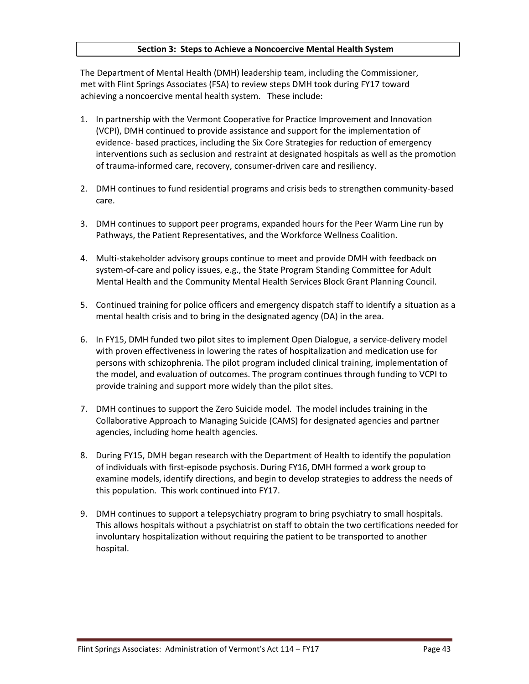#### **Section 3: Steps to Achieve a Noncoercive Mental Health System**

The Department of Mental Health (DMH) leadership team, including the Commissioner, met with Flint Springs Associates (FSA) to review steps DMH took during FY17 toward achieving a noncoercive mental health system. These include:

- 1. In partnership with the Vermont Cooperative for Practice Improvement and Innovation (VCPI), DMH continued to provide assistance and support for the implementation of evidence- based practices, including the Six Core Strategies for reduction of emergency interventions such as seclusion and restraint at designated hospitals as well as the promotion of trauma-informed care, recovery, consumer-driven care and resiliency.
- 2. DMH continues to fund residential programs and crisis beds to strengthen community-based care.
- 3. DMH continues to support peer programs, expanded hours for the Peer Warm Line run by Pathways, the Patient Representatives, and the Workforce Wellness Coalition.
- 4. Multi-stakeholder advisory groups continue to meet and provide DMH with feedback on system-of-care and policy issues, e.g., the State Program Standing Committee for Adult Mental Health and the Community Mental Health Services Block Grant Planning Council.
- 5. Continued training for police officers and emergency dispatch staff to identify a situation as a mental health crisis and to bring in the designated agency (DA) in the area.
- 6. In FY15, DMH funded two pilot sites to implement Open Dialogue, a service-delivery model with proven effectiveness in lowering the rates of hospitalization and medication use for persons with schizophrenia. The pilot program included clinical training, implementation of the model, and evaluation of outcomes. The program continues through funding to VCPI to provide training and support more widely than the pilot sites.
- 7. DMH continues to support the Zero Suicide model. The model includes training in the Collaborative Approach to Managing Suicide (CAMS) for designated agencies and partner agencies, including home health agencies.
- 8. During FY15, DMH began research with the Department of Health to identify the population of individuals with first-episode psychosis. During FY16, DMH formed a work group to examine models, identify directions, and begin to develop strategies to address the needs of this population. This work continued into FY17.
- 9. DMH continues to support a telepsychiatry program to bring psychiatry to small hospitals. This allows hospitals without a psychiatrist on staff to obtain the two certifications needed for involuntary hospitalization without requiring the patient to be transported to another hospital.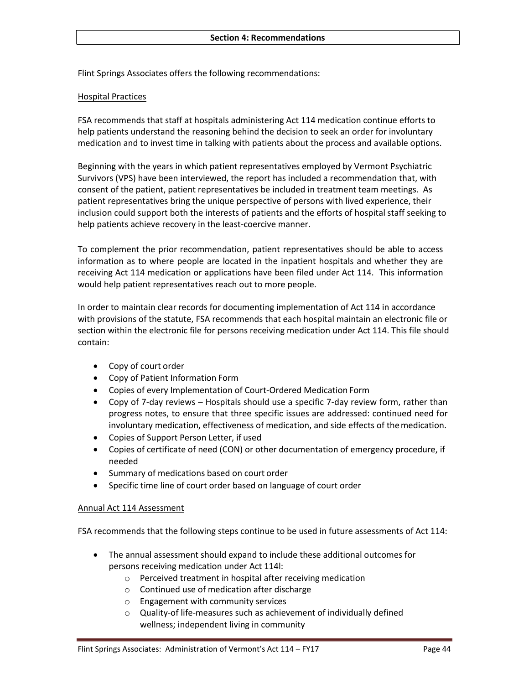Flint Springs Associates offers the following recommendations:

#### Hospital Practices

FSA recommends that staff at hospitals administering Act 114 medication continue efforts to help patients understand the reasoning behind the decision to seek an order for involuntary medication and to invest time in talking with patients about the process and available options.

Beginning with the years in which patient representatives employed by Vermont Psychiatric Survivors (VPS) have been interviewed, the report has included a recommendation that, with consent of the patient, patient representatives be included in treatment team meetings. As patient representatives bring the unique perspective of persons with lived experience, their inclusion could support both the interests of patients and the efforts of hospital staff seeking to help patients achieve recovery in the least-coercive manner.

To complement the prior recommendation, patient representatives should be able to access information as to where people are located in the inpatient hospitals and whether they are receiving Act 114 medication or applications have been filed under Act 114. This information would help patient representatives reach out to more people.

In order to maintain clear records for documenting implementation of Act 114 in accordance with provisions of the statute, FSA recommends that each hospital maintain an electronic file or section within the electronic file for persons receiving medication under Act 114. This file should contain:

- Copy of court order
- Copy of Patient Information Form
- Copies of every Implementation of Court-Ordered Medication Form
- Copy of 7-day reviews Hospitals should use a specific 7-day review form, rather than progress notes, to ensure that three specific issues are addressed: continued need for involuntary medication, effectiveness of medication, and side effects of themedication.
- Copies of Support Person Letter, if used
- Copies of certificate of need (CON) or other documentation of emergency procedure, if needed
- Summary of medications based on court order
- Specific time line of court order based on language of court order

#### Annual Act 114 Assessment

FSA recommends that the following steps continue to be used in future assessments of Act 114:

- The annual assessment should expand to include these additional outcomes for persons receiving medication under Act 114l:
	- o Perceived treatment in hospital after receiving medication
	- o Continued use of medication after discharge
	- o Engagement with community services
	- $\circ$  Quality-of life-measures such as achievement of individually defined wellness; independent living in community